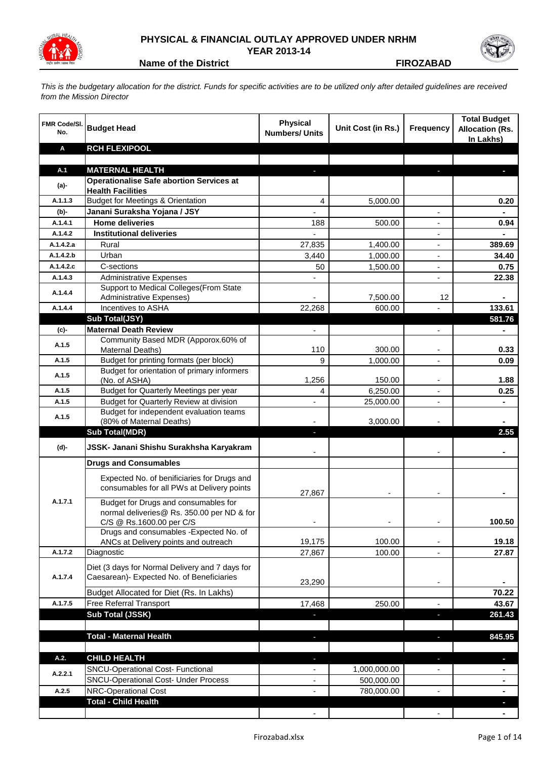

## **PHYSICAL & FINANCIAL OUTLAY APPROVED UNDER NRHM YEAR 2013-14**



**Name of the District Contract Contract Contract Contract Contract Contract Contract Contract Contract Contract Contract Contract Contract Contract Contract Contract Contract Contract Contract Contract Contract Contract Co** 

*This is the budgetary allocation for the district. Funds for specific activities are to be utilized only after detailed guidelines are received from the Mission Director*

| <b>FMR Code/SI.</b><br>No. | <b>Budget Head</b>                                                                        | <b>Physical</b><br><b>Numbers/ Units</b> | Unit Cost (in Rs.) | <b>Frequency</b>         | <b>Total Budget</b><br><b>Allocation (Rs.</b><br>In Lakhs) |
|----------------------------|-------------------------------------------------------------------------------------------|------------------------------------------|--------------------|--------------------------|------------------------------------------------------------|
| Α                          | <b>RCH FLEXIPOOL</b>                                                                      |                                          |                    |                          |                                                            |
|                            |                                                                                           |                                          |                    |                          |                                                            |
| A.1                        | <b>MATERNAL HEALTH</b>                                                                    |                                          |                    |                          |                                                            |
| $(a)$ -                    | <b>Operationalise Safe abortion Services at</b><br><b>Health Facilities</b>               |                                          |                    |                          |                                                            |
| A.1.1.3                    | <b>Budget for Meetings &amp; Orientation</b>                                              | 4                                        | 5,000.00           |                          | 0.20                                                       |
| (b)-                       | Janani Suraksha Yojana / JSY                                                              |                                          |                    |                          | $\blacksquare$                                             |
| A.1.4.1                    | <b>Home deliveries</b>                                                                    | 188                                      | 500.00             |                          | 0.94                                                       |
| A.1.4.2                    | <b>Institutional deliveries</b>                                                           |                                          |                    |                          |                                                            |
| A.1.4.2.a                  | Rural                                                                                     | 27,835                                   | 1,400.00           |                          | 389.69                                                     |
| A.1.4.2.b                  | Urban                                                                                     | 3,440                                    | 1,000.00           | $\overline{\phantom{a}}$ | 34.40                                                      |
| A.1.4.2.c                  | C-sections                                                                                | 50                                       | 1,500.00           | $\overline{\phantom{a}}$ | 0.75                                                       |
| A.1.4.3                    | <b>Administrative Expenses</b>                                                            |                                          |                    |                          | 22.38                                                      |
| A.1.4.4                    | Support to Medical Colleges (From State<br><b>Administrative Expenses)</b>                |                                          | 7,500.00           | 12                       | Ξ.                                                         |
| A.1.4.4                    | Incentives to ASHA                                                                        | 22,268                                   | 600.00             |                          | 133.61                                                     |
|                            | Sub Total(JSY)                                                                            |                                          |                    |                          | 581.76                                                     |
| (c)-                       | <b>Maternal Death Review</b>                                                              | ÷.                                       |                    | $\blacksquare$           |                                                            |
| A.1.5                      | Community Based MDR (Apporox.60% of<br>Maternal Deaths)                                   | 110                                      | 300.00             |                          | 0.33                                                       |
| A.1.5                      | Budget for printing formats (per block)                                                   | 9                                        | 1,000.00           |                          | 0.09                                                       |
| A.1.5                      | Budget for orientation of primary informers<br>(No. of ASHA)                              | 1,256                                    | 150.00             |                          | 1.88                                                       |
| A.1.5                      | Budget for Quarterly Meetings per year                                                    | 4                                        | 6,250.00           |                          | 0.25                                                       |
| A.1.5                      | Budget for Quarterly Review at division                                                   | L,                                       | 25,000.00          | $\blacksquare$           | ۰                                                          |
|                            | Budget for independent evaluation teams                                                   |                                          |                    |                          |                                                            |
| A.1.5                      | (80% of Maternal Deaths)                                                                  |                                          | 3,000.00           |                          |                                                            |
|                            | <b>Sub Total(MDR)</b>                                                                     | ٠                                        |                    |                          | 2.55                                                       |
| (d)-                       | JSSK- Janani Shishu Surakhsha Karyakram                                                   |                                          |                    |                          |                                                            |
|                            | <b>Drugs and Consumables</b>                                                              |                                          |                    |                          |                                                            |
|                            | Expected No. of benificiaries for Drugs and<br>consumables for all PWs at Delivery points | 27,867                                   |                    |                          |                                                            |
| A.1.7.1                    | Budget for Drugs and consumables for<br>normal deliveries@ Rs. 350.00 per ND & for        |                                          |                    |                          |                                                            |
|                            | C/S @ Rs.1600.00 per C/S<br>Drugs and consumables - Expected No. of                       |                                          |                    |                          | 100.50                                                     |
|                            | ANCs at Delivery points and outreach                                                      | 19,175                                   | 100.00             |                          | 19.18                                                      |
| A.1.7.2                    | Diagnostic                                                                                | 27,867                                   | 100.00             |                          | 27.87                                                      |
|                            | Diet (3 days for Normal Delivery and 7 days for                                           |                                          |                    |                          |                                                            |
| A.1.7.4                    | Caesarean)- Expected No. of Beneficiaries                                                 |                                          |                    |                          |                                                            |
|                            |                                                                                           | 23,290                                   |                    |                          |                                                            |
|                            | Budget Allocated for Diet (Rs. In Lakhs)                                                  |                                          |                    |                          | 70.22                                                      |
| A.1.7.5                    | Free Referral Transport                                                                   | 17,468                                   | 250.00             |                          | 43.67                                                      |
|                            | Sub Total (JSSK)                                                                          |                                          |                    |                          | 261.43                                                     |
|                            |                                                                                           |                                          |                    |                          |                                                            |
|                            | <b>Total - Maternal Health</b>                                                            |                                          |                    |                          | 845.95                                                     |
| A.2.                       | <b>CHILD HEALTH</b>                                                                       | J,                                       |                    | $\overline{\phantom{a}}$ |                                                            |
|                            | SNCU-Operational Cost- Functional                                                         | $\overline{\phantom{0}}$                 | 1,000,000.00       |                          |                                                            |
| A.2.2.1                    | <b>SNCU-Operational Cost- Under Process</b>                                               | $\overline{\phantom{0}}$                 | 500,000.00         |                          | ۰                                                          |
| A.2.5                      | NRC-Operational Cost                                                                      |                                          | 780,000.00         |                          |                                                            |
|                            | <b>Total - Child Health</b>                                                               |                                          |                    |                          |                                                            |
|                            |                                                                                           |                                          |                    |                          |                                                            |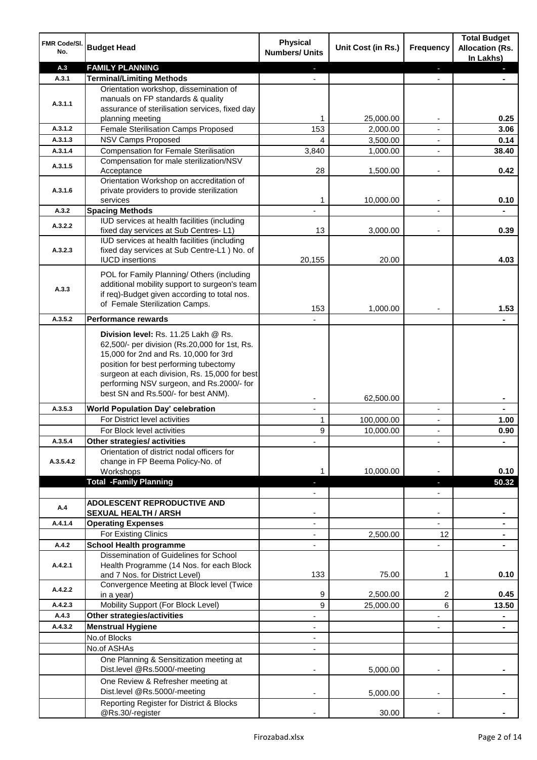| A.3<br><b>FAMILY PLANNING</b><br>a.<br>٠<br>A.3.1<br><b>Terminal/Limiting Methods</b><br>$\overline{a}$<br>Orientation workshop, dissemination of<br>manuals on FP standards & quality<br>A.3.1.1<br>assurance of sterilisation services, fixed day<br>25,000.00<br>0.25<br>1<br>planning meeting<br>Female Sterilisation Camps Proposed<br>153<br>A.3.1.2<br>2,000.00<br>3.06<br>A.3.1.3<br><b>NSV Camps Proposed</b><br>4<br>3,500.00<br>0.14<br>$\overline{\phantom{a}}$<br><b>Compensation for Female Sterilisation</b><br>A.3.1.4<br>3,840<br>1,000.00<br>38.40<br>÷,<br>Compensation for male sterilization/NSV<br>A.3.1.5<br>0.42<br>28<br>1,500.00<br>Acceptance<br>$\overline{\phantom{a}}$<br>Orientation Workshop on accreditation of<br>private providers to provide sterilization<br>A.3.1.6<br>10,000.00<br>0.10<br>1<br>services<br>A.3.2<br><b>Spacing Methods</b><br>$\overline{\phantom{a}}$<br>IUD services at health facilities (including<br>A.3.2.2<br>0.39<br>13<br>fixed day services at Sub Centres-L1)<br>3,000.00<br>IUD services at health facilities (including<br>fixed day services at Sub Centre-L1 ) No. of<br>A.3.2.3<br>20.00<br>4.03<br><b>IUCD</b> insertions<br>20,155<br>POL for Family Planning/ Others (including<br>additional mobility support to surgeon's team<br>A.3.3<br>if req)-Budget given according to total nos.<br>of Female Sterilization Camps.<br>153<br>1,000.00<br>1.53<br>A.3.5.2<br><b>Performance rewards</b><br>Division level: Rs. 11.25 Lakh @ Rs.<br>62,500/- per division (Rs.20,000 for 1st, Rs.<br>15,000 for 2nd and Rs. 10,000 for 3rd<br>position for best performing tubectomy<br>surgeon at each division, Rs. 15,000 for best<br>performing NSV surgeon, and Rs.2000/- for<br>best SN and Rs.500/- for best ANM).<br>62,500.00<br>A.3.5.3<br><b>World Population Day' celebration</b><br>$\blacksquare$<br>$\overline{\phantom{a}}$<br>$\blacksquare$<br>For District level activities<br>1<br>100,000.00<br>1.00<br>$\overline{\phantom{a}}$<br>9<br>For Block level activities<br>10,000.00<br>0.90<br>$\overline{\phantom{a}}$<br>A.3.5.4<br>Other strategies/ activities<br>٠<br>Orientation of district nodal officers for<br>change in FP Beema Policy-No. of<br>A.3.5.4.2<br>10,000.00<br>0.10<br>Workshops<br>1<br><b>Total -Family Planning</b><br>50.32<br>E.<br><b>ADOLESCENT REPRODUCTIVE AND</b><br>A.4<br><b>SEXUAL HEALTH / ARSH</b><br>$\overline{\phantom{m}}$<br><b>Operating Expenses</b><br>A.4.1.4<br>$\overline{\phantom{0}}$<br>$\blacksquare$<br>For Existing Clinics<br>2,500.00<br>12<br>A.4.2<br><b>School Health programme</b><br>Dissemination of Guidelines for School<br>Health Programme (14 Nos. for each Block<br>A.4.2.1<br>133<br>and 7 Nos. for District Level)<br>75.00<br>1<br>0.10<br>Convergence Meeting at Block level (Twice<br>A.4.2.2<br>9<br>2,500.00<br>2<br>0.45<br>in a year)<br>Mobility Support (For Block Level)<br>A.4.2.3<br>9<br>6<br>25,000.00<br>13.50<br><b>Other strategies/activities</b><br>A.4.3<br><b>Menstrual Hygiene</b><br>A.4.3.2<br>No.of Blocks<br>No.of ASHAs<br>One Planning & Sensitization meeting at<br>Dist.level @Rs.5000/-meeting<br>5,000.00 | FMR Code/SI.<br>No. | <b>Budget Head</b>                | <b>Physical</b><br><b>Numbers/ Units</b> | Unit Cost (in Rs.) | <b>Frequency</b> | <b>Total Budget</b><br><b>Allocation (Rs.</b><br>In Lakhs) |
|-------------------------------------------------------------------------------------------------------------------------------------------------------------------------------------------------------------------------------------------------------------------------------------------------------------------------------------------------------------------------------------------------------------------------------------------------------------------------------------------------------------------------------------------------------------------------------------------------------------------------------------------------------------------------------------------------------------------------------------------------------------------------------------------------------------------------------------------------------------------------------------------------------------------------------------------------------------------------------------------------------------------------------------------------------------------------------------------------------------------------------------------------------------------------------------------------------------------------------------------------------------------------------------------------------------------------------------------------------------------------------------------------------------------------------------------------------------------------------------------------------------------------------------------------------------------------------------------------------------------------------------------------------------------------------------------------------------------------------------------------------------------------------------------------------------------------------------------------------------------------------------------------------------------------------------------------------------------------------------------------------------------------------------------------------------------------------------------------------------------------------------------------------------------------------------------------------------------------------------------------------------------------------------------------------------------------------------------------------------------------------------------------------------------------------------------------------------------------------------------------------------------------------------------------------------------------------------------------------------------------------------------------------------------------------------------------------------------------------------------------------------------------------------------------------------------------------------------------------------------------------------------------------------------------------------------------------------------------------------------------------------------------------------------------------------------------------------------------------------------------------------------------------------------------------------------------------|---------------------|-----------------------------------|------------------------------------------|--------------------|------------------|------------------------------------------------------------|
|                                                                                                                                                                                                                                                                                                                                                                                                                                                                                                                                                                                                                                                                                                                                                                                                                                                                                                                                                                                                                                                                                                                                                                                                                                                                                                                                                                                                                                                                                                                                                                                                                                                                                                                                                                                                                                                                                                                                                                                                                                                                                                                                                                                                                                                                                                                                                                                                                                                                                                                                                                                                                                                                                                                                                                                                                                                                                                                                                                                                                                                                                                                                                                                                       |                     |                                   |                                          |                    |                  |                                                            |
|                                                                                                                                                                                                                                                                                                                                                                                                                                                                                                                                                                                                                                                                                                                                                                                                                                                                                                                                                                                                                                                                                                                                                                                                                                                                                                                                                                                                                                                                                                                                                                                                                                                                                                                                                                                                                                                                                                                                                                                                                                                                                                                                                                                                                                                                                                                                                                                                                                                                                                                                                                                                                                                                                                                                                                                                                                                                                                                                                                                                                                                                                                                                                                                                       |                     |                                   |                                          |                    |                  |                                                            |
|                                                                                                                                                                                                                                                                                                                                                                                                                                                                                                                                                                                                                                                                                                                                                                                                                                                                                                                                                                                                                                                                                                                                                                                                                                                                                                                                                                                                                                                                                                                                                                                                                                                                                                                                                                                                                                                                                                                                                                                                                                                                                                                                                                                                                                                                                                                                                                                                                                                                                                                                                                                                                                                                                                                                                                                                                                                                                                                                                                                                                                                                                                                                                                                                       |                     |                                   |                                          |                    |                  |                                                            |
|                                                                                                                                                                                                                                                                                                                                                                                                                                                                                                                                                                                                                                                                                                                                                                                                                                                                                                                                                                                                                                                                                                                                                                                                                                                                                                                                                                                                                                                                                                                                                                                                                                                                                                                                                                                                                                                                                                                                                                                                                                                                                                                                                                                                                                                                                                                                                                                                                                                                                                                                                                                                                                                                                                                                                                                                                                                                                                                                                                                                                                                                                                                                                                                                       |                     |                                   |                                          |                    |                  |                                                            |
|                                                                                                                                                                                                                                                                                                                                                                                                                                                                                                                                                                                                                                                                                                                                                                                                                                                                                                                                                                                                                                                                                                                                                                                                                                                                                                                                                                                                                                                                                                                                                                                                                                                                                                                                                                                                                                                                                                                                                                                                                                                                                                                                                                                                                                                                                                                                                                                                                                                                                                                                                                                                                                                                                                                                                                                                                                                                                                                                                                                                                                                                                                                                                                                                       |                     |                                   |                                          |                    |                  |                                                            |
|                                                                                                                                                                                                                                                                                                                                                                                                                                                                                                                                                                                                                                                                                                                                                                                                                                                                                                                                                                                                                                                                                                                                                                                                                                                                                                                                                                                                                                                                                                                                                                                                                                                                                                                                                                                                                                                                                                                                                                                                                                                                                                                                                                                                                                                                                                                                                                                                                                                                                                                                                                                                                                                                                                                                                                                                                                                                                                                                                                                                                                                                                                                                                                                                       |                     |                                   |                                          |                    |                  |                                                            |
|                                                                                                                                                                                                                                                                                                                                                                                                                                                                                                                                                                                                                                                                                                                                                                                                                                                                                                                                                                                                                                                                                                                                                                                                                                                                                                                                                                                                                                                                                                                                                                                                                                                                                                                                                                                                                                                                                                                                                                                                                                                                                                                                                                                                                                                                                                                                                                                                                                                                                                                                                                                                                                                                                                                                                                                                                                                                                                                                                                                                                                                                                                                                                                                                       |                     |                                   |                                          |                    |                  |                                                            |
|                                                                                                                                                                                                                                                                                                                                                                                                                                                                                                                                                                                                                                                                                                                                                                                                                                                                                                                                                                                                                                                                                                                                                                                                                                                                                                                                                                                                                                                                                                                                                                                                                                                                                                                                                                                                                                                                                                                                                                                                                                                                                                                                                                                                                                                                                                                                                                                                                                                                                                                                                                                                                                                                                                                                                                                                                                                                                                                                                                                                                                                                                                                                                                                                       |                     |                                   |                                          |                    |                  |                                                            |
|                                                                                                                                                                                                                                                                                                                                                                                                                                                                                                                                                                                                                                                                                                                                                                                                                                                                                                                                                                                                                                                                                                                                                                                                                                                                                                                                                                                                                                                                                                                                                                                                                                                                                                                                                                                                                                                                                                                                                                                                                                                                                                                                                                                                                                                                                                                                                                                                                                                                                                                                                                                                                                                                                                                                                                                                                                                                                                                                                                                                                                                                                                                                                                                                       |                     |                                   |                                          |                    |                  |                                                            |
|                                                                                                                                                                                                                                                                                                                                                                                                                                                                                                                                                                                                                                                                                                                                                                                                                                                                                                                                                                                                                                                                                                                                                                                                                                                                                                                                                                                                                                                                                                                                                                                                                                                                                                                                                                                                                                                                                                                                                                                                                                                                                                                                                                                                                                                                                                                                                                                                                                                                                                                                                                                                                                                                                                                                                                                                                                                                                                                                                                                                                                                                                                                                                                                                       |                     |                                   |                                          |                    |                  |                                                            |
|                                                                                                                                                                                                                                                                                                                                                                                                                                                                                                                                                                                                                                                                                                                                                                                                                                                                                                                                                                                                                                                                                                                                                                                                                                                                                                                                                                                                                                                                                                                                                                                                                                                                                                                                                                                                                                                                                                                                                                                                                                                                                                                                                                                                                                                                                                                                                                                                                                                                                                                                                                                                                                                                                                                                                                                                                                                                                                                                                                                                                                                                                                                                                                                                       |                     |                                   |                                          |                    |                  |                                                            |
|                                                                                                                                                                                                                                                                                                                                                                                                                                                                                                                                                                                                                                                                                                                                                                                                                                                                                                                                                                                                                                                                                                                                                                                                                                                                                                                                                                                                                                                                                                                                                                                                                                                                                                                                                                                                                                                                                                                                                                                                                                                                                                                                                                                                                                                                                                                                                                                                                                                                                                                                                                                                                                                                                                                                                                                                                                                                                                                                                                                                                                                                                                                                                                                                       |                     |                                   |                                          |                    |                  |                                                            |
|                                                                                                                                                                                                                                                                                                                                                                                                                                                                                                                                                                                                                                                                                                                                                                                                                                                                                                                                                                                                                                                                                                                                                                                                                                                                                                                                                                                                                                                                                                                                                                                                                                                                                                                                                                                                                                                                                                                                                                                                                                                                                                                                                                                                                                                                                                                                                                                                                                                                                                                                                                                                                                                                                                                                                                                                                                                                                                                                                                                                                                                                                                                                                                                                       |                     |                                   |                                          |                    |                  |                                                            |
|                                                                                                                                                                                                                                                                                                                                                                                                                                                                                                                                                                                                                                                                                                                                                                                                                                                                                                                                                                                                                                                                                                                                                                                                                                                                                                                                                                                                                                                                                                                                                                                                                                                                                                                                                                                                                                                                                                                                                                                                                                                                                                                                                                                                                                                                                                                                                                                                                                                                                                                                                                                                                                                                                                                                                                                                                                                                                                                                                                                                                                                                                                                                                                                                       |                     |                                   |                                          |                    |                  |                                                            |
|                                                                                                                                                                                                                                                                                                                                                                                                                                                                                                                                                                                                                                                                                                                                                                                                                                                                                                                                                                                                                                                                                                                                                                                                                                                                                                                                                                                                                                                                                                                                                                                                                                                                                                                                                                                                                                                                                                                                                                                                                                                                                                                                                                                                                                                                                                                                                                                                                                                                                                                                                                                                                                                                                                                                                                                                                                                                                                                                                                                                                                                                                                                                                                                                       |                     |                                   |                                          |                    |                  |                                                            |
|                                                                                                                                                                                                                                                                                                                                                                                                                                                                                                                                                                                                                                                                                                                                                                                                                                                                                                                                                                                                                                                                                                                                                                                                                                                                                                                                                                                                                                                                                                                                                                                                                                                                                                                                                                                                                                                                                                                                                                                                                                                                                                                                                                                                                                                                                                                                                                                                                                                                                                                                                                                                                                                                                                                                                                                                                                                                                                                                                                                                                                                                                                                                                                                                       |                     |                                   |                                          |                    |                  |                                                            |
|                                                                                                                                                                                                                                                                                                                                                                                                                                                                                                                                                                                                                                                                                                                                                                                                                                                                                                                                                                                                                                                                                                                                                                                                                                                                                                                                                                                                                                                                                                                                                                                                                                                                                                                                                                                                                                                                                                                                                                                                                                                                                                                                                                                                                                                                                                                                                                                                                                                                                                                                                                                                                                                                                                                                                                                                                                                                                                                                                                                                                                                                                                                                                                                                       |                     |                                   |                                          |                    |                  |                                                            |
|                                                                                                                                                                                                                                                                                                                                                                                                                                                                                                                                                                                                                                                                                                                                                                                                                                                                                                                                                                                                                                                                                                                                                                                                                                                                                                                                                                                                                                                                                                                                                                                                                                                                                                                                                                                                                                                                                                                                                                                                                                                                                                                                                                                                                                                                                                                                                                                                                                                                                                                                                                                                                                                                                                                                                                                                                                                                                                                                                                                                                                                                                                                                                                                                       |                     |                                   |                                          |                    |                  |                                                            |
|                                                                                                                                                                                                                                                                                                                                                                                                                                                                                                                                                                                                                                                                                                                                                                                                                                                                                                                                                                                                                                                                                                                                                                                                                                                                                                                                                                                                                                                                                                                                                                                                                                                                                                                                                                                                                                                                                                                                                                                                                                                                                                                                                                                                                                                                                                                                                                                                                                                                                                                                                                                                                                                                                                                                                                                                                                                                                                                                                                                                                                                                                                                                                                                                       |                     |                                   |                                          |                    |                  |                                                            |
|                                                                                                                                                                                                                                                                                                                                                                                                                                                                                                                                                                                                                                                                                                                                                                                                                                                                                                                                                                                                                                                                                                                                                                                                                                                                                                                                                                                                                                                                                                                                                                                                                                                                                                                                                                                                                                                                                                                                                                                                                                                                                                                                                                                                                                                                                                                                                                                                                                                                                                                                                                                                                                                                                                                                                                                                                                                                                                                                                                                                                                                                                                                                                                                                       |                     |                                   |                                          |                    |                  |                                                            |
|                                                                                                                                                                                                                                                                                                                                                                                                                                                                                                                                                                                                                                                                                                                                                                                                                                                                                                                                                                                                                                                                                                                                                                                                                                                                                                                                                                                                                                                                                                                                                                                                                                                                                                                                                                                                                                                                                                                                                                                                                                                                                                                                                                                                                                                                                                                                                                                                                                                                                                                                                                                                                                                                                                                                                                                                                                                                                                                                                                                                                                                                                                                                                                                                       |                     |                                   |                                          |                    |                  |                                                            |
|                                                                                                                                                                                                                                                                                                                                                                                                                                                                                                                                                                                                                                                                                                                                                                                                                                                                                                                                                                                                                                                                                                                                                                                                                                                                                                                                                                                                                                                                                                                                                                                                                                                                                                                                                                                                                                                                                                                                                                                                                                                                                                                                                                                                                                                                                                                                                                                                                                                                                                                                                                                                                                                                                                                                                                                                                                                                                                                                                                                                                                                                                                                                                                                                       |                     |                                   |                                          |                    |                  |                                                            |
|                                                                                                                                                                                                                                                                                                                                                                                                                                                                                                                                                                                                                                                                                                                                                                                                                                                                                                                                                                                                                                                                                                                                                                                                                                                                                                                                                                                                                                                                                                                                                                                                                                                                                                                                                                                                                                                                                                                                                                                                                                                                                                                                                                                                                                                                                                                                                                                                                                                                                                                                                                                                                                                                                                                                                                                                                                                                                                                                                                                                                                                                                                                                                                                                       |                     |                                   |                                          |                    |                  |                                                            |
|                                                                                                                                                                                                                                                                                                                                                                                                                                                                                                                                                                                                                                                                                                                                                                                                                                                                                                                                                                                                                                                                                                                                                                                                                                                                                                                                                                                                                                                                                                                                                                                                                                                                                                                                                                                                                                                                                                                                                                                                                                                                                                                                                                                                                                                                                                                                                                                                                                                                                                                                                                                                                                                                                                                                                                                                                                                                                                                                                                                                                                                                                                                                                                                                       |                     |                                   |                                          |                    |                  |                                                            |
|                                                                                                                                                                                                                                                                                                                                                                                                                                                                                                                                                                                                                                                                                                                                                                                                                                                                                                                                                                                                                                                                                                                                                                                                                                                                                                                                                                                                                                                                                                                                                                                                                                                                                                                                                                                                                                                                                                                                                                                                                                                                                                                                                                                                                                                                                                                                                                                                                                                                                                                                                                                                                                                                                                                                                                                                                                                                                                                                                                                                                                                                                                                                                                                                       |                     |                                   |                                          |                    |                  |                                                            |
|                                                                                                                                                                                                                                                                                                                                                                                                                                                                                                                                                                                                                                                                                                                                                                                                                                                                                                                                                                                                                                                                                                                                                                                                                                                                                                                                                                                                                                                                                                                                                                                                                                                                                                                                                                                                                                                                                                                                                                                                                                                                                                                                                                                                                                                                                                                                                                                                                                                                                                                                                                                                                                                                                                                                                                                                                                                                                                                                                                                                                                                                                                                                                                                                       |                     |                                   |                                          |                    |                  |                                                            |
|                                                                                                                                                                                                                                                                                                                                                                                                                                                                                                                                                                                                                                                                                                                                                                                                                                                                                                                                                                                                                                                                                                                                                                                                                                                                                                                                                                                                                                                                                                                                                                                                                                                                                                                                                                                                                                                                                                                                                                                                                                                                                                                                                                                                                                                                                                                                                                                                                                                                                                                                                                                                                                                                                                                                                                                                                                                                                                                                                                                                                                                                                                                                                                                                       |                     |                                   |                                          |                    |                  |                                                            |
|                                                                                                                                                                                                                                                                                                                                                                                                                                                                                                                                                                                                                                                                                                                                                                                                                                                                                                                                                                                                                                                                                                                                                                                                                                                                                                                                                                                                                                                                                                                                                                                                                                                                                                                                                                                                                                                                                                                                                                                                                                                                                                                                                                                                                                                                                                                                                                                                                                                                                                                                                                                                                                                                                                                                                                                                                                                                                                                                                                                                                                                                                                                                                                                                       |                     |                                   |                                          |                    |                  |                                                            |
|                                                                                                                                                                                                                                                                                                                                                                                                                                                                                                                                                                                                                                                                                                                                                                                                                                                                                                                                                                                                                                                                                                                                                                                                                                                                                                                                                                                                                                                                                                                                                                                                                                                                                                                                                                                                                                                                                                                                                                                                                                                                                                                                                                                                                                                                                                                                                                                                                                                                                                                                                                                                                                                                                                                                                                                                                                                                                                                                                                                                                                                                                                                                                                                                       |                     |                                   |                                          |                    |                  |                                                            |
|                                                                                                                                                                                                                                                                                                                                                                                                                                                                                                                                                                                                                                                                                                                                                                                                                                                                                                                                                                                                                                                                                                                                                                                                                                                                                                                                                                                                                                                                                                                                                                                                                                                                                                                                                                                                                                                                                                                                                                                                                                                                                                                                                                                                                                                                                                                                                                                                                                                                                                                                                                                                                                                                                                                                                                                                                                                                                                                                                                                                                                                                                                                                                                                                       |                     |                                   |                                          |                    |                  |                                                            |
|                                                                                                                                                                                                                                                                                                                                                                                                                                                                                                                                                                                                                                                                                                                                                                                                                                                                                                                                                                                                                                                                                                                                                                                                                                                                                                                                                                                                                                                                                                                                                                                                                                                                                                                                                                                                                                                                                                                                                                                                                                                                                                                                                                                                                                                                                                                                                                                                                                                                                                                                                                                                                                                                                                                                                                                                                                                                                                                                                                                                                                                                                                                                                                                                       |                     |                                   |                                          |                    |                  |                                                            |
|                                                                                                                                                                                                                                                                                                                                                                                                                                                                                                                                                                                                                                                                                                                                                                                                                                                                                                                                                                                                                                                                                                                                                                                                                                                                                                                                                                                                                                                                                                                                                                                                                                                                                                                                                                                                                                                                                                                                                                                                                                                                                                                                                                                                                                                                                                                                                                                                                                                                                                                                                                                                                                                                                                                                                                                                                                                                                                                                                                                                                                                                                                                                                                                                       |                     |                                   |                                          |                    |                  |                                                            |
|                                                                                                                                                                                                                                                                                                                                                                                                                                                                                                                                                                                                                                                                                                                                                                                                                                                                                                                                                                                                                                                                                                                                                                                                                                                                                                                                                                                                                                                                                                                                                                                                                                                                                                                                                                                                                                                                                                                                                                                                                                                                                                                                                                                                                                                                                                                                                                                                                                                                                                                                                                                                                                                                                                                                                                                                                                                                                                                                                                                                                                                                                                                                                                                                       |                     |                                   |                                          |                    |                  |                                                            |
|                                                                                                                                                                                                                                                                                                                                                                                                                                                                                                                                                                                                                                                                                                                                                                                                                                                                                                                                                                                                                                                                                                                                                                                                                                                                                                                                                                                                                                                                                                                                                                                                                                                                                                                                                                                                                                                                                                                                                                                                                                                                                                                                                                                                                                                                                                                                                                                                                                                                                                                                                                                                                                                                                                                                                                                                                                                                                                                                                                                                                                                                                                                                                                                                       |                     |                                   |                                          |                    |                  |                                                            |
|                                                                                                                                                                                                                                                                                                                                                                                                                                                                                                                                                                                                                                                                                                                                                                                                                                                                                                                                                                                                                                                                                                                                                                                                                                                                                                                                                                                                                                                                                                                                                                                                                                                                                                                                                                                                                                                                                                                                                                                                                                                                                                                                                                                                                                                                                                                                                                                                                                                                                                                                                                                                                                                                                                                                                                                                                                                                                                                                                                                                                                                                                                                                                                                                       |                     |                                   |                                          |                    |                  |                                                            |
|                                                                                                                                                                                                                                                                                                                                                                                                                                                                                                                                                                                                                                                                                                                                                                                                                                                                                                                                                                                                                                                                                                                                                                                                                                                                                                                                                                                                                                                                                                                                                                                                                                                                                                                                                                                                                                                                                                                                                                                                                                                                                                                                                                                                                                                                                                                                                                                                                                                                                                                                                                                                                                                                                                                                                                                                                                                                                                                                                                                                                                                                                                                                                                                                       |                     |                                   |                                          |                    |                  |                                                            |
|                                                                                                                                                                                                                                                                                                                                                                                                                                                                                                                                                                                                                                                                                                                                                                                                                                                                                                                                                                                                                                                                                                                                                                                                                                                                                                                                                                                                                                                                                                                                                                                                                                                                                                                                                                                                                                                                                                                                                                                                                                                                                                                                                                                                                                                                                                                                                                                                                                                                                                                                                                                                                                                                                                                                                                                                                                                                                                                                                                                                                                                                                                                                                                                                       |                     |                                   |                                          |                    |                  |                                                            |
|                                                                                                                                                                                                                                                                                                                                                                                                                                                                                                                                                                                                                                                                                                                                                                                                                                                                                                                                                                                                                                                                                                                                                                                                                                                                                                                                                                                                                                                                                                                                                                                                                                                                                                                                                                                                                                                                                                                                                                                                                                                                                                                                                                                                                                                                                                                                                                                                                                                                                                                                                                                                                                                                                                                                                                                                                                                                                                                                                                                                                                                                                                                                                                                                       |                     |                                   |                                          |                    |                  |                                                            |
|                                                                                                                                                                                                                                                                                                                                                                                                                                                                                                                                                                                                                                                                                                                                                                                                                                                                                                                                                                                                                                                                                                                                                                                                                                                                                                                                                                                                                                                                                                                                                                                                                                                                                                                                                                                                                                                                                                                                                                                                                                                                                                                                                                                                                                                                                                                                                                                                                                                                                                                                                                                                                                                                                                                                                                                                                                                                                                                                                                                                                                                                                                                                                                                                       |                     |                                   |                                          |                    |                  |                                                            |
|                                                                                                                                                                                                                                                                                                                                                                                                                                                                                                                                                                                                                                                                                                                                                                                                                                                                                                                                                                                                                                                                                                                                                                                                                                                                                                                                                                                                                                                                                                                                                                                                                                                                                                                                                                                                                                                                                                                                                                                                                                                                                                                                                                                                                                                                                                                                                                                                                                                                                                                                                                                                                                                                                                                                                                                                                                                                                                                                                                                                                                                                                                                                                                                                       |                     |                                   |                                          |                    |                  |                                                            |
|                                                                                                                                                                                                                                                                                                                                                                                                                                                                                                                                                                                                                                                                                                                                                                                                                                                                                                                                                                                                                                                                                                                                                                                                                                                                                                                                                                                                                                                                                                                                                                                                                                                                                                                                                                                                                                                                                                                                                                                                                                                                                                                                                                                                                                                                                                                                                                                                                                                                                                                                                                                                                                                                                                                                                                                                                                                                                                                                                                                                                                                                                                                                                                                                       |                     |                                   |                                          |                    |                  |                                                            |
|                                                                                                                                                                                                                                                                                                                                                                                                                                                                                                                                                                                                                                                                                                                                                                                                                                                                                                                                                                                                                                                                                                                                                                                                                                                                                                                                                                                                                                                                                                                                                                                                                                                                                                                                                                                                                                                                                                                                                                                                                                                                                                                                                                                                                                                                                                                                                                                                                                                                                                                                                                                                                                                                                                                                                                                                                                                                                                                                                                                                                                                                                                                                                                                                       |                     |                                   |                                          |                    |                  |                                                            |
|                                                                                                                                                                                                                                                                                                                                                                                                                                                                                                                                                                                                                                                                                                                                                                                                                                                                                                                                                                                                                                                                                                                                                                                                                                                                                                                                                                                                                                                                                                                                                                                                                                                                                                                                                                                                                                                                                                                                                                                                                                                                                                                                                                                                                                                                                                                                                                                                                                                                                                                                                                                                                                                                                                                                                                                                                                                                                                                                                                                                                                                                                                                                                                                                       |                     |                                   |                                          |                    |                  |                                                            |
|                                                                                                                                                                                                                                                                                                                                                                                                                                                                                                                                                                                                                                                                                                                                                                                                                                                                                                                                                                                                                                                                                                                                                                                                                                                                                                                                                                                                                                                                                                                                                                                                                                                                                                                                                                                                                                                                                                                                                                                                                                                                                                                                                                                                                                                                                                                                                                                                                                                                                                                                                                                                                                                                                                                                                                                                                                                                                                                                                                                                                                                                                                                                                                                                       |                     |                                   |                                          |                    |                  |                                                            |
|                                                                                                                                                                                                                                                                                                                                                                                                                                                                                                                                                                                                                                                                                                                                                                                                                                                                                                                                                                                                                                                                                                                                                                                                                                                                                                                                                                                                                                                                                                                                                                                                                                                                                                                                                                                                                                                                                                                                                                                                                                                                                                                                                                                                                                                                                                                                                                                                                                                                                                                                                                                                                                                                                                                                                                                                                                                                                                                                                                                                                                                                                                                                                                                                       |                     |                                   |                                          |                    |                  |                                                            |
|                                                                                                                                                                                                                                                                                                                                                                                                                                                                                                                                                                                                                                                                                                                                                                                                                                                                                                                                                                                                                                                                                                                                                                                                                                                                                                                                                                                                                                                                                                                                                                                                                                                                                                                                                                                                                                                                                                                                                                                                                                                                                                                                                                                                                                                                                                                                                                                                                                                                                                                                                                                                                                                                                                                                                                                                                                                                                                                                                                                                                                                                                                                                                                                                       |                     |                                   |                                          |                    |                  |                                                            |
|                                                                                                                                                                                                                                                                                                                                                                                                                                                                                                                                                                                                                                                                                                                                                                                                                                                                                                                                                                                                                                                                                                                                                                                                                                                                                                                                                                                                                                                                                                                                                                                                                                                                                                                                                                                                                                                                                                                                                                                                                                                                                                                                                                                                                                                                                                                                                                                                                                                                                                                                                                                                                                                                                                                                                                                                                                                                                                                                                                                                                                                                                                                                                                                                       |                     |                                   |                                          |                    |                  |                                                            |
|                                                                                                                                                                                                                                                                                                                                                                                                                                                                                                                                                                                                                                                                                                                                                                                                                                                                                                                                                                                                                                                                                                                                                                                                                                                                                                                                                                                                                                                                                                                                                                                                                                                                                                                                                                                                                                                                                                                                                                                                                                                                                                                                                                                                                                                                                                                                                                                                                                                                                                                                                                                                                                                                                                                                                                                                                                                                                                                                                                                                                                                                                                                                                                                                       |                     |                                   |                                          |                    |                  |                                                            |
|                                                                                                                                                                                                                                                                                                                                                                                                                                                                                                                                                                                                                                                                                                                                                                                                                                                                                                                                                                                                                                                                                                                                                                                                                                                                                                                                                                                                                                                                                                                                                                                                                                                                                                                                                                                                                                                                                                                                                                                                                                                                                                                                                                                                                                                                                                                                                                                                                                                                                                                                                                                                                                                                                                                                                                                                                                                                                                                                                                                                                                                                                                                                                                                                       |                     |                                   |                                          |                    |                  |                                                            |
|                                                                                                                                                                                                                                                                                                                                                                                                                                                                                                                                                                                                                                                                                                                                                                                                                                                                                                                                                                                                                                                                                                                                                                                                                                                                                                                                                                                                                                                                                                                                                                                                                                                                                                                                                                                                                                                                                                                                                                                                                                                                                                                                                                                                                                                                                                                                                                                                                                                                                                                                                                                                                                                                                                                                                                                                                                                                                                                                                                                                                                                                                                                                                                                                       |                     |                                   |                                          |                    |                  |                                                            |
|                                                                                                                                                                                                                                                                                                                                                                                                                                                                                                                                                                                                                                                                                                                                                                                                                                                                                                                                                                                                                                                                                                                                                                                                                                                                                                                                                                                                                                                                                                                                                                                                                                                                                                                                                                                                                                                                                                                                                                                                                                                                                                                                                                                                                                                                                                                                                                                                                                                                                                                                                                                                                                                                                                                                                                                                                                                                                                                                                                                                                                                                                                                                                                                                       |                     |                                   |                                          |                    |                  |                                                            |
|                                                                                                                                                                                                                                                                                                                                                                                                                                                                                                                                                                                                                                                                                                                                                                                                                                                                                                                                                                                                                                                                                                                                                                                                                                                                                                                                                                                                                                                                                                                                                                                                                                                                                                                                                                                                                                                                                                                                                                                                                                                                                                                                                                                                                                                                                                                                                                                                                                                                                                                                                                                                                                                                                                                                                                                                                                                                                                                                                                                                                                                                                                                                                                                                       |                     |                                   |                                          |                    |                  |                                                            |
|                                                                                                                                                                                                                                                                                                                                                                                                                                                                                                                                                                                                                                                                                                                                                                                                                                                                                                                                                                                                                                                                                                                                                                                                                                                                                                                                                                                                                                                                                                                                                                                                                                                                                                                                                                                                                                                                                                                                                                                                                                                                                                                                                                                                                                                                                                                                                                                                                                                                                                                                                                                                                                                                                                                                                                                                                                                                                                                                                                                                                                                                                                                                                                                                       |                     |                                   |                                          |                    |                  |                                                            |
| Dist.level @Rs.5000/-meeting                                                                                                                                                                                                                                                                                                                                                                                                                                                                                                                                                                                                                                                                                                                                                                                                                                                                                                                                                                                                                                                                                                                                                                                                                                                                                                                                                                                                                                                                                                                                                                                                                                                                                                                                                                                                                                                                                                                                                                                                                                                                                                                                                                                                                                                                                                                                                                                                                                                                                                                                                                                                                                                                                                                                                                                                                                                                                                                                                                                                                                                                                                                                                                          |                     | One Review & Refresher meeting at |                                          |                    |                  |                                                            |
| 5,000.00<br>Reporting Register for District & Blocks                                                                                                                                                                                                                                                                                                                                                                                                                                                                                                                                                                                                                                                                                                                                                                                                                                                                                                                                                                                                                                                                                                                                                                                                                                                                                                                                                                                                                                                                                                                                                                                                                                                                                                                                                                                                                                                                                                                                                                                                                                                                                                                                                                                                                                                                                                                                                                                                                                                                                                                                                                                                                                                                                                                                                                                                                                                                                                                                                                                                                                                                                                                                                  |                     |                                   |                                          |                    |                  |                                                            |
| 30.00<br>@Rs.30/-register                                                                                                                                                                                                                                                                                                                                                                                                                                                                                                                                                                                                                                                                                                                                                                                                                                                                                                                                                                                                                                                                                                                                                                                                                                                                                                                                                                                                                                                                                                                                                                                                                                                                                                                                                                                                                                                                                                                                                                                                                                                                                                                                                                                                                                                                                                                                                                                                                                                                                                                                                                                                                                                                                                                                                                                                                                                                                                                                                                                                                                                                                                                                                                             |                     |                                   |                                          |                    |                  |                                                            |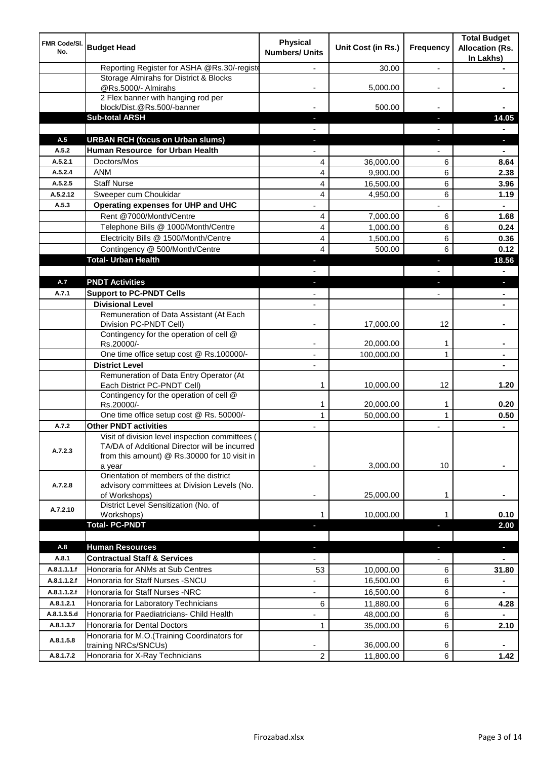| In Lakhs)<br>Reporting Register for ASHA @Rs.30/-registe<br>30.00<br>$\overline{a}$<br>Storage Almirahs for District & Blocks<br>@Rs.5000/- Almirahs<br>5,000.00<br>2 Flex banner with hanging rod per<br>block/Dist.@Rs.500/-banner<br>500.00<br><b>Sub-total ARSH</b><br>H,<br><b>URBAN RCH (focus on Urban slums)</b><br>A.5<br>r.<br>Human Resource for Urban Health<br>A.5.2<br>Doctors/Mos<br>A.5.2.1<br>36,000.00<br>6<br>4<br><b>ANM</b><br>A.5.2.4<br>4<br>6<br>9,900.00<br><b>Staff Nurse</b><br>4<br>6<br>A.5.2.5<br>16,500.00 | 14.05<br>8.64<br>2.38<br>3.96 |
|-------------------------------------------------------------------------------------------------------------------------------------------------------------------------------------------------------------------------------------------------------------------------------------------------------------------------------------------------------------------------------------------------------------------------------------------------------------------------------------------------------------------------------------------|-------------------------------|
|                                                                                                                                                                                                                                                                                                                                                                                                                                                                                                                                           |                               |
|                                                                                                                                                                                                                                                                                                                                                                                                                                                                                                                                           |                               |
|                                                                                                                                                                                                                                                                                                                                                                                                                                                                                                                                           |                               |
|                                                                                                                                                                                                                                                                                                                                                                                                                                                                                                                                           |                               |
|                                                                                                                                                                                                                                                                                                                                                                                                                                                                                                                                           |                               |
|                                                                                                                                                                                                                                                                                                                                                                                                                                                                                                                                           |                               |
|                                                                                                                                                                                                                                                                                                                                                                                                                                                                                                                                           |                               |
|                                                                                                                                                                                                                                                                                                                                                                                                                                                                                                                                           |                               |
|                                                                                                                                                                                                                                                                                                                                                                                                                                                                                                                                           |                               |
|                                                                                                                                                                                                                                                                                                                                                                                                                                                                                                                                           |                               |
| A.5.2.12<br>Sweeper cum Choukidar<br>4<br>6                                                                                                                                                                                                                                                                                                                                                                                                                                                                                               |                               |
| 4,950.00<br>A.5.3<br>Operating expenses for UHP and UHC                                                                                                                                                                                                                                                                                                                                                                                                                                                                                   | 1.19                          |
| Rent @7000/Month/Centre<br>7,000.00<br>4<br>6                                                                                                                                                                                                                                                                                                                                                                                                                                                                                             | 1.68                          |
| 4<br>Telephone Bills @ 1000/Month/Centre<br>6<br>1,000.00                                                                                                                                                                                                                                                                                                                                                                                                                                                                                 | 0.24                          |
| Electricity Bills @ 1500/Month/Centre<br>4<br>6<br>1,500.00                                                                                                                                                                                                                                                                                                                                                                                                                                                                               | 0.36                          |
| Contingency @ 500/Month/Centre<br>4<br>6<br>500.00                                                                                                                                                                                                                                                                                                                                                                                                                                                                                        | 0.12                          |
| <b>Total- Urban Health</b><br>J<br>ı                                                                                                                                                                                                                                                                                                                                                                                                                                                                                                      | 18.56                         |
|                                                                                                                                                                                                                                                                                                                                                                                                                                                                                                                                           |                               |
| A.7<br><b>PNDT Activities</b><br>٠<br>J,                                                                                                                                                                                                                                                                                                                                                                                                                                                                                                  | $\blacksquare$                |
| <b>Support to PC-PNDT Cells</b><br>A.7.1<br>٠                                                                                                                                                                                                                                                                                                                                                                                                                                                                                             |                               |
| <b>Divisional Level</b><br>٠                                                                                                                                                                                                                                                                                                                                                                                                                                                                                                              | $\blacksquare$                |
| Remuneration of Data Assistant (At Each                                                                                                                                                                                                                                                                                                                                                                                                                                                                                                   |                               |
| 12<br>Division PC-PNDT Cell)<br>17,000.00                                                                                                                                                                                                                                                                                                                                                                                                                                                                                                 |                               |
| Contingency for the operation of cell @<br>Rs.20000/-<br>20,000.00<br>1                                                                                                                                                                                                                                                                                                                                                                                                                                                                   |                               |
| One time office setup cost @ Rs.100000/-<br>100,000.00<br>1                                                                                                                                                                                                                                                                                                                                                                                                                                                                               |                               |
| <b>District Level</b>                                                                                                                                                                                                                                                                                                                                                                                                                                                                                                                     |                               |
| Remuneration of Data Entry Operator (At<br>Each District PC-PNDT Cell)<br>10,000.00<br>12<br>1                                                                                                                                                                                                                                                                                                                                                                                                                                            | 1.20                          |
| Contingency for the operation of cell @                                                                                                                                                                                                                                                                                                                                                                                                                                                                                                   |                               |
| 20,000.00<br>Rs.20000/-<br>1<br>1<br>One time office setup cost @ Rs. 50000/-<br>$\mathbf{1}$<br>$\mathbf{1}$<br>50,000.00                                                                                                                                                                                                                                                                                                                                                                                                                | 0.20<br>0.50                  |
| <b>Other PNDT activities</b><br>A.7.2<br>٠                                                                                                                                                                                                                                                                                                                                                                                                                                                                                                | $\blacksquare$                |
| Visit of division level inspection committees (<br>TA/DA of Additional Director will be incurred<br>A.7.2.3<br>from this amount) @ Rs.30000 for 10 visit in                                                                                                                                                                                                                                                                                                                                                                               |                               |
| 3,000.00<br>10<br>a year<br>Orientation of members of the district                                                                                                                                                                                                                                                                                                                                                                                                                                                                        |                               |
| advisory committees at Division Levels (No.<br>A.7.2.8<br>of Workshops)<br>25,000.00<br>1                                                                                                                                                                                                                                                                                                                                                                                                                                                 |                               |
| District Level Sensitization (No. of<br>A.7.2.10<br>10,000.00<br>Workshops)<br>1<br>1                                                                                                                                                                                                                                                                                                                                                                                                                                                     | 0.10                          |
| <b>Total-PC-PNDT</b><br>٠                                                                                                                                                                                                                                                                                                                                                                                                                                                                                                                 | 2.00                          |
| A.8<br><b>Human Resources</b><br>٠<br>٠                                                                                                                                                                                                                                                                                                                                                                                                                                                                                                   | $\blacksquare$                |
| A.8.1<br><b>Contractual Staff &amp; Services</b><br>$\overline{\phantom{0}}$<br>$\overline{\phantom{0}}$                                                                                                                                                                                                                                                                                                                                                                                                                                  | $\blacksquare$                |
| Honoraria for ANMs at Sub Centres<br>A.8.1.1.1.f<br>53<br>10,000.00<br>6                                                                                                                                                                                                                                                                                                                                                                                                                                                                  | 31.80                         |
| Honoraria for Staff Nurses - SNCU<br>A.8.1.1.2.f<br>16,500.00<br>6<br>$\overline{\phantom{0}}$                                                                                                                                                                                                                                                                                                                                                                                                                                            |                               |
| A.8.1.1.2.f<br>Honoraria for Staff Nurses -NRC<br>16,500.00<br>6<br>$\overline{\phantom{0}}$                                                                                                                                                                                                                                                                                                                                                                                                                                              | $\blacksquare$                |
| Honoraria for Laboratory Technicians<br>A.8.1.2.1<br>6<br>11,880.00<br>6                                                                                                                                                                                                                                                                                                                                                                                                                                                                  | 4.28                          |
| A.8.1.3.5.d<br>Honoraria for Paediatricians- Child Health<br>48,000.00<br>6                                                                                                                                                                                                                                                                                                                                                                                                                                                               | $\blacksquare$                |
| Honoraria for Dental Doctors<br>A.8.1.3.7<br>35,000.00<br>6<br>$\mathbf{1}$                                                                                                                                                                                                                                                                                                                                                                                                                                                               | 2.10                          |
| Honoraria for M.O.(Training Coordinators for<br>A.8.1.5.8<br>36,000.00<br>training NRCs/SNCUs)<br>6                                                                                                                                                                                                                                                                                                                                                                                                                                       |                               |
| Honoraria for X-Ray Technicians<br>$\overline{c}$<br>A.8.1.7.2<br>6<br>11,800.00                                                                                                                                                                                                                                                                                                                                                                                                                                                          |                               |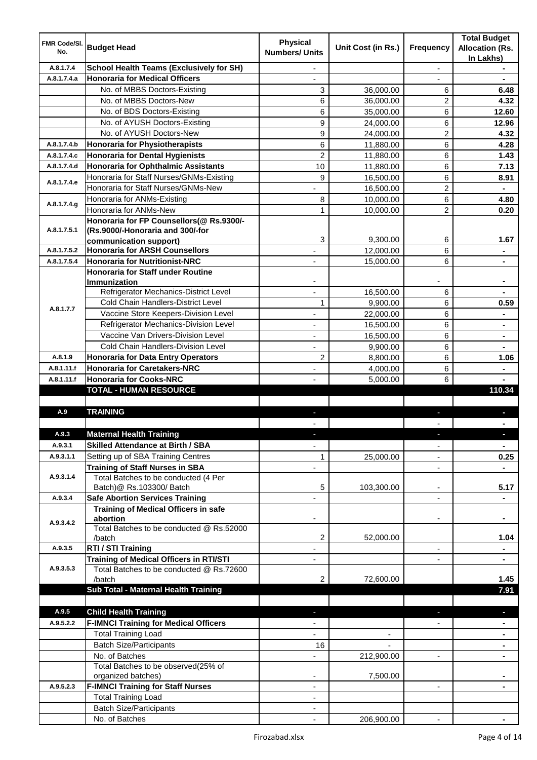| <b>FMR Code/SI.</b><br>No. | <b>Budget Head</b>                                                          | <b>Physical</b><br><b>Numbers/ Units</b> | Unit Cost (in Rs.)       | Frequency                | <b>Total Budget</b><br><b>Allocation (Rs.</b><br>In Lakhs) |
|----------------------------|-----------------------------------------------------------------------------|------------------------------------------|--------------------------|--------------------------|------------------------------------------------------------|
| A.8.1.7.4                  | <b>School Health Teams (Exclusively for SH)</b>                             |                                          |                          | $\overline{a}$           |                                                            |
| A.8.1.7.4.a                | <b>Honoraria for Medical Officers</b>                                       |                                          |                          |                          |                                                            |
|                            | No. of MBBS Doctors-Existing                                                | 3                                        | 36,000.00                | 6                        | 6.48                                                       |
|                            | No. of MBBS Doctors-New                                                     | 6                                        | 36,000.00                | 2                        | 4.32                                                       |
|                            | No. of BDS Doctors-Existing                                                 | 6                                        | 35,000.00                | 6                        | 12.60                                                      |
|                            | No. of AYUSH Doctors-Existing                                               | 9                                        | 24,000.00                | 6                        | 12.96                                                      |
|                            | No. of AYUSH Doctors-New                                                    | 9                                        | 24,000.00                | 2                        | 4.32                                                       |
| A.8.1.7.4.b                | <b>Honoraria for Physiotherapists</b>                                       | 6                                        | 11,880.00                | 6                        | 4.28                                                       |
| A.8.1.7.4.c                | <b>Honoraria for Dental Hygienists</b>                                      | $\overline{2}$                           | 11,880.00                | 6                        | 1.43                                                       |
| A.8.1.7.4.d                | <b>Honoraria for Ophthalmic Assistants</b>                                  | 10                                       | 11,880.00                | 6                        | 7.13                                                       |
| A.8.1.7.4.e                | Honoraria for Staff Nurses/GNMs-Existing                                    | 9                                        | 16,500.00                | 6                        | 8.91                                                       |
|                            | Honoraria for Staff Nurses/GNMs-New                                         |                                          | 16,500.00                | $\overline{2}$           |                                                            |
| A.8.1.7.4.g                | Honoraria for ANMs-Existing                                                 | 8                                        | 10,000.00                | 6                        | 4.80                                                       |
|                            | Honoraria for ANMs-New                                                      | 1                                        | 10,000.00                | $\overline{2}$           | 0.20                                                       |
|                            | Honoraria for FP Counsellors(@ Rs.9300/-                                    |                                          |                          |                          |                                                            |
| A.8.1.7.5.1                | (Rs.9000/-Honoraria and 300/-for                                            |                                          |                          |                          |                                                            |
|                            | communication support)                                                      | 3                                        | 9,300.00                 | 6                        | 1.67                                                       |
| A.8.1.7.5.2                | <b>Honoraria for ARSH Counsellors</b>                                       |                                          | 12,000.00                | 6                        | $\blacksquare$                                             |
| A.8.1.7.5.4                | <b>Honoraria for Nutritionist-NRC</b>                                       | $\overline{\phantom{0}}$                 | 15,000.00                | 6                        | $\blacksquare$                                             |
|                            | <b>Honoraria for Staff under Routine</b>                                    |                                          |                          |                          |                                                            |
|                            | <b>Immunization</b><br>Refrigerator Mechanics-District Level                |                                          |                          |                          |                                                            |
|                            | Cold Chain Handlers-District Level                                          |                                          | 16,500.00                | 6                        |                                                            |
| A.8.1.7.7                  | Vaccine Store Keepers-Division Level                                        | 1                                        | 9,900.00                 | 6                        | 0.59                                                       |
|                            |                                                                             | ä,                                       | 22,000.00                | 6                        | $\blacksquare$                                             |
|                            | Refrigerator Mechanics-Division Level<br>Vaccine Van Drivers-Division Level |                                          | 16,500.00                | 6                        | $\blacksquare$                                             |
|                            |                                                                             | ÷,                                       | 16,500.00                | 6                        | $\blacksquare$                                             |
|                            | Cold Chain Handlers-Division Level                                          |                                          | 9,900.00                 | 6                        |                                                            |
| A.8.1.9                    | <b>Honoraria for Data Entry Operators</b>                                   | $\overline{c}$                           | 8,800.00                 | 6                        | 1.06                                                       |
| A.8.1.11.f                 | <b>Honoraria for Caretakers-NRC</b>                                         | ÷,                                       | 4,000.00                 | 6                        |                                                            |
| A.8.1.11.f                 | <b>Honoraria for Cooks-NRC</b><br><b>TOTAL - HUMAN RESOURCE</b>             |                                          | 5,000.00                 | 6                        | 110.34                                                     |
|                            |                                                                             |                                          |                          |                          |                                                            |
| A.9                        | <b>TRAINING</b>                                                             | ٠                                        |                          | ٠                        | p                                                          |
|                            |                                                                             |                                          |                          |                          |                                                            |
| A.9.3                      | <b>Maternal Health Training</b>                                             |                                          |                          |                          |                                                            |
| A.9.3.1                    | <b>Skilled Attendance at Birth / SBA</b>                                    | ÷,                                       |                          | $\overline{\phantom{a}}$ | $\blacksquare$                                             |
| A.9.3.1.1                  | Setting up of SBA Training Centres                                          | 1                                        | 25,000.00                | ٠                        | 0.25                                                       |
|                            | <b>Training of Staff Nurses in SBA</b>                                      | $\overline{\phantom{0}}$                 |                          | $\overline{\phantom{a}}$ |                                                            |
| A.9.3.1.4                  | Total Batches to be conducted (4 Per                                        |                                          |                          |                          |                                                            |
|                            | Batch)@ Rs.103300/ Batch                                                    | 5                                        | 103,300.00               | ٠                        | 5.17                                                       |
| A.9.3.4                    | <b>Safe Abortion Services Training</b>                                      |                                          |                          |                          |                                                            |
|                            | <b>Training of Medical Officers in safe</b>                                 |                                          |                          |                          |                                                            |
| A.9.3.4.2                  | abortion                                                                    |                                          |                          | -                        |                                                            |
|                            | Total Batches to be conducted @ Rs.52000                                    |                                          |                          |                          |                                                            |
|                            | /batch                                                                      | 2                                        | 52,000.00                |                          | 1.04                                                       |
| A.9.3.5                    | RTI / STI Training                                                          | ÷,                                       |                          | ٠                        | $\blacksquare$                                             |
|                            | <b>Training of Medical Officers in RTI/STI</b>                              | $\overline{\phantom{a}}$                 |                          | L,                       | $\blacksquare$                                             |
| A.9.3.5.3                  | Total Batches to be conducted @ Rs.72600                                    |                                          |                          |                          |                                                            |
|                            | /batch                                                                      | 2                                        | 72,600.00                |                          | 1.45                                                       |
|                            | Sub Total - Maternal Health Training                                        |                                          |                          |                          | 7.91                                                       |
|                            |                                                                             |                                          |                          |                          |                                                            |
| A.9.5                      | <b>Child Health Training</b>                                                |                                          |                          |                          | ٠                                                          |
| A.9.5.2.2                  | <b>F-IMNCI Training for Medical Officers</b>                                |                                          |                          |                          |                                                            |
|                            | <b>Total Training Load</b>                                                  | $\overline{\phantom{0}}$                 | $\overline{\phantom{a}}$ |                          | $\blacksquare$                                             |
|                            | <b>Batch Size/Participants</b>                                              | 16                                       |                          |                          | ٠                                                          |
|                            | No. of Batches                                                              | $\overline{\phantom{0}}$                 | 212,900.00               | ۰                        | ٠                                                          |
|                            | Total Batches to be observed(25% of                                         |                                          |                          |                          |                                                            |
|                            | organized batches)                                                          |                                          | 7,500.00                 |                          |                                                            |
| A.9.5.2.3                  | <b>F-IMNCI Training for Staff Nurses</b>                                    | ٠                                        |                          | $\blacksquare$           |                                                            |
|                            | <b>Total Training Load</b>                                                  | ٠                                        |                          |                          |                                                            |
|                            | <b>Batch Size/Participants</b>                                              |                                          |                          |                          |                                                            |
|                            | No. of Batches                                                              |                                          | 206,900.00               |                          |                                                            |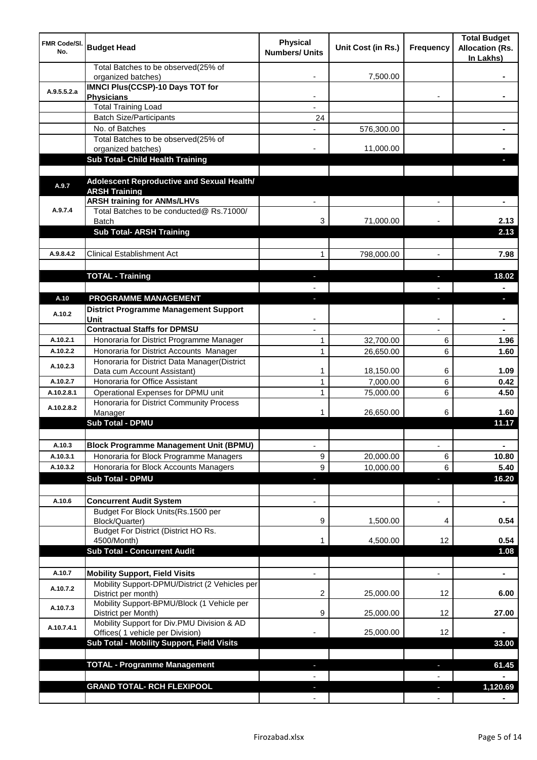| <b>FMR Code/SI.</b><br>No. | <b>Budget Head</b>                                                             | <b>Physical</b><br><b>Numbers/ Units</b> | Unit Cost (in Rs.) | Frequency                     | <b>Total Budget</b><br><b>Allocation (Rs.</b><br>In Lakhs) |
|----------------------------|--------------------------------------------------------------------------------|------------------------------------------|--------------------|-------------------------------|------------------------------------------------------------|
|                            | Total Batches to be observed(25% of<br>organized batches)                      |                                          | 7,500.00           |                               |                                                            |
| A.9.5.5.2.a                | <b>IMNCI Plus(CCSP)-10 Days TOT for</b>                                        |                                          |                    |                               |                                                            |
|                            | <b>Physicians</b><br><b>Total Training Load</b>                                |                                          |                    |                               |                                                            |
|                            | <b>Batch Size/Participants</b>                                                 | 24                                       |                    |                               |                                                            |
|                            | No. of Batches                                                                 |                                          | 576,300.00         |                               |                                                            |
|                            | Total Batches to be observed(25% of                                            |                                          |                    |                               |                                                            |
|                            | organized batches)                                                             |                                          | 11,000.00          |                               |                                                            |
|                            | Sub Total- Child Health Training                                               |                                          |                    |                               |                                                            |
|                            |                                                                                |                                          |                    |                               |                                                            |
| A.9.7                      | Adolescent Reproductive and Sexual Health/                                     |                                          |                    |                               |                                                            |
|                            | <b>ARSH Training</b><br><b>ARSH training for ANMs/LHVs</b>                     |                                          |                    |                               |                                                            |
| A.9.7.4                    | Total Batches to be conducted@ Rs.71000/                                       |                                          |                    |                               |                                                            |
|                            | <b>Batch</b>                                                                   | 3                                        | 71,000.00          |                               | 2.13                                                       |
|                            | <b>Sub Total- ARSH Training</b>                                                |                                          |                    |                               | 2.13                                                       |
|                            |                                                                                |                                          |                    |                               |                                                            |
| A.9.8.4.2                  | <b>Clinical Establishment Act</b>                                              | 1                                        | 798,000.00         | $\overline{a}$                | 7.98                                                       |
|                            |                                                                                |                                          |                    |                               |                                                            |
|                            | <b>TOTAL - Training</b>                                                        |                                          |                    |                               | 18.02                                                      |
|                            |                                                                                |                                          |                    |                               |                                                            |
| A.10                       | PROGRAMME MANAGEMENT                                                           |                                          |                    |                               | o.                                                         |
| A.10.2                     | <b>District Programme Management Support</b>                                   |                                          |                    |                               |                                                            |
|                            | Unit<br><b>Contractual Staffs for DPMSU</b>                                    |                                          |                    |                               |                                                            |
| A.10.2.1                   | Honoraria for District Programme Manager                                       | 1                                        | 32,700.00          | 6                             | 1.96                                                       |
| A.10.2.2                   | Honoraria for District Accounts Manager                                        | $\mathbf{1}$                             | 26,650.00          | 6                             | 1.60                                                       |
|                            | Honoraria for District Data Manager(District                                   |                                          |                    |                               |                                                            |
| A.10.2.3                   | Data cum Account Assistant)                                                    | 1                                        | 18,150.00          | 6                             | 1.09                                                       |
| A.10.2.7                   | Honoraria for Office Assistant                                                 | 1                                        | 7,000.00           | 6                             | 0.42                                                       |
| A.10.2.8.1                 | Operational Expenses for DPMU unit                                             | 1                                        | 75,000.00          | 6                             | 4.50                                                       |
| A.10.2.8.2                 | Honoraria for District Community Process                                       |                                          |                    |                               |                                                            |
|                            | Manager                                                                        | 1                                        | 26,650.00          | 6                             | 1.60                                                       |
|                            | <b>Sub Total - DPMU</b>                                                        |                                          |                    |                               | 11.17                                                      |
| A.10.3                     | <b>Block Programme Management Unit (BPMU)</b>                                  |                                          |                    |                               |                                                            |
| A.10.3.1                   | Honoraria for Block Programme Managers                                         | $\overline{\phantom{a}}$<br>9            | 20,000.00          | $\overline{\phantom{a}}$<br>6 | ٠<br>10.80                                                 |
| A.10.3.2                   | Honoraria for Block Accounts Managers                                          | 9                                        | 10,000.00          | 6                             | 5.40                                                       |
|                            | <b>Sub Total - DPMU</b>                                                        | P.                                       |                    | ٠                             | 16.20                                                      |
|                            |                                                                                |                                          |                    |                               |                                                            |
| A.10.6                     | <b>Concurrent Audit System</b>                                                 |                                          |                    | $\overline{\phantom{0}}$      | $\blacksquare$                                             |
|                            | Budget For Block Units(Rs. 1500 per                                            |                                          |                    |                               |                                                            |
|                            | Block/Quarter)                                                                 | 9                                        | 1,500.00           | 4                             | 0.54                                                       |
|                            | Budget For District (District HO Rs.                                           |                                          |                    |                               |                                                            |
|                            | 4500/Month)<br><b>Sub Total - Concurrent Audit</b>                             | 1                                        | 4,500.00           | 12                            | 0.54<br>1.08                                               |
|                            |                                                                                |                                          |                    |                               |                                                            |
| A.10.7                     | <b>Mobility Support, Field Visits</b>                                          |                                          |                    | $\overline{a}$                | ä,                                                         |
|                            | Mobility Support-DPMU/District (2 Vehicles per                                 |                                          |                    |                               |                                                            |
| A.10.7.2                   | District per month)                                                            | 2                                        | 25,000.00          | 12                            | 6.00                                                       |
| A.10.7.3                   | Mobility Support-BPMU/Block (1 Vehicle per                                     |                                          |                    |                               |                                                            |
|                            | District per Month)                                                            | 9                                        | 25,000.00          | 12                            | 27.00                                                      |
| A.10.7.4.1                 | Mobility Support for Div.PMU Division & AD<br>Offices( 1 vehicle per Division) |                                          | 25,000.00          | 12                            |                                                            |
|                            | Sub Total - Mobility Support, Field Visits                                     |                                          |                    |                               | 33.00                                                      |
|                            |                                                                                |                                          |                    |                               |                                                            |
|                            | <b>TOTAL - Programme Management</b>                                            |                                          |                    | ı.                            | 61.45                                                      |
|                            |                                                                                |                                          |                    |                               |                                                            |
|                            | <b>GRAND TOTAL- RCH FLEXIPOOL</b>                                              |                                          |                    | a,                            | 1,120.69                                                   |
|                            |                                                                                |                                          |                    |                               |                                                            |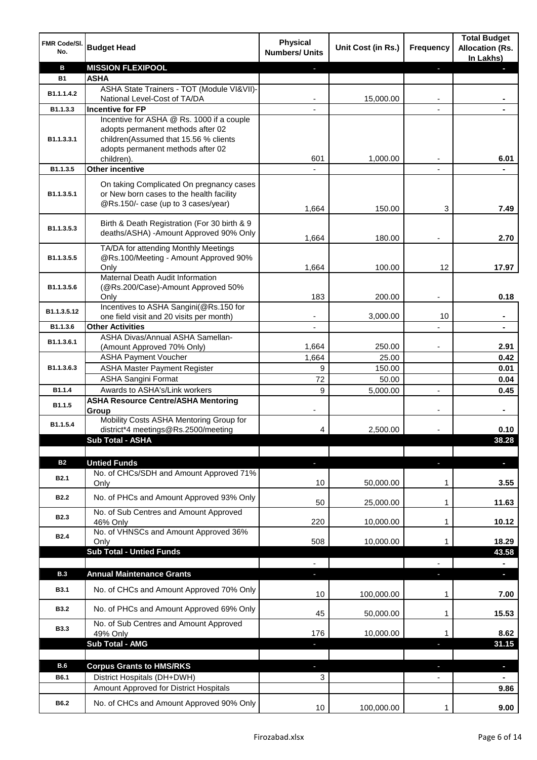| FMR Code/SI.<br>No. | <b>Budget Head</b>                                                                                                                                                         | <b>Physical</b><br><b>Numbers/ Units</b> | Unit Cost (in Rs.) | <b>Frequency</b> | <b>Total Budget</b><br><b>Allocation (Rs.</b><br>In Lakhs) |
|---------------------|----------------------------------------------------------------------------------------------------------------------------------------------------------------------------|------------------------------------------|--------------------|------------------|------------------------------------------------------------|
| B                   | <b>MISSION FLEXIPOOL</b>                                                                                                                                                   |                                          |                    | P.               |                                                            |
| <b>B1</b>           | <b>ASHA</b>                                                                                                                                                                |                                          |                    |                  |                                                            |
| B1.1.1.4.2          | ASHA State Trainers - TOT (Module VI&VII)-                                                                                                                                 |                                          |                    |                  |                                                            |
|                     | National Level-Cost of TA/DA                                                                                                                                               |                                          | 15,000.00          |                  |                                                            |
| B1.1.3.3            | <b>Incentive for FP</b>                                                                                                                                                    |                                          |                    |                  |                                                            |
| B1.1.3.3.1          | Incentive for ASHA @ Rs. 1000 if a couple<br>adopts permanent methods after 02<br>children(Assumed that 15.56 % clients<br>adopts permanent methods after 02<br>children). | 601                                      | 1,000.00           |                  | 6.01                                                       |
| B1.1.3.5            | Other incentive                                                                                                                                                            |                                          |                    |                  |                                                            |
| B1.1.3.5.1          | On taking Complicated On pregnancy cases<br>or New born cases to the health facility<br>@Rs.150/- case (up to 3 cases/year)                                                | 1,664                                    | 150.00             | 3                | 7.49                                                       |
|                     |                                                                                                                                                                            |                                          |                    |                  |                                                            |
| B1.1.3.5.3          | Birth & Death Registration (For 30 birth & 9<br>deaths/ASHA) -Amount Approved 90% Only                                                                                     | 1,664                                    | 180.00             |                  | 2.70                                                       |
|                     | TA/DA for attending Monthly Meetings                                                                                                                                       |                                          |                    |                  |                                                            |
| B1.1.3.5.5          | @Rs.100/Meeting - Amount Approved 90%                                                                                                                                      |                                          |                    |                  |                                                            |
|                     | Only                                                                                                                                                                       | 1,664                                    | 100.00             | 12               | 17.97                                                      |
| B1.1.3.5.6          | Maternal Death Audit Information<br>(@Rs.200/Case)-Amount Approved 50%                                                                                                     |                                          |                    |                  |                                                            |
|                     | Only                                                                                                                                                                       | 183                                      | 200.00             |                  | 0.18                                                       |
| B1.1.3.5.12         | Incentives to ASHA Sangini(@Rs.150 for<br>one field visit and 20 visits per month)                                                                                         | -                                        | 3,000.00           | 10               | $\blacksquare$                                             |
| B1.1.3.6            | <b>Other Activities</b>                                                                                                                                                    | $\overline{\phantom{a}}$                 |                    |                  | $\blacksquare$                                             |
|                     | ASHA Divas/Annual ASHA Samellan-                                                                                                                                           |                                          |                    |                  |                                                            |
| B1.1.3.6.1          | (Amount Approved 70% Only)                                                                                                                                                 | 1,664                                    | 250.00             |                  | 2.91                                                       |
|                     | <b>ASHA Payment Voucher</b>                                                                                                                                                | 1,664                                    | 25.00              |                  | 0.42                                                       |
| B1.1.3.6.3          | <b>ASHA Master Payment Register</b>                                                                                                                                        | 9                                        | 150.00             |                  | 0.01                                                       |
|                     | <b>ASHA Sangini Format</b>                                                                                                                                                 | 72                                       | 50.00              |                  | 0.04                                                       |
| B1.1.4              | Awards to ASHA's/Link workers                                                                                                                                              | 9                                        | 5,000.00           | $\overline{a}$   | 0.45                                                       |
| B1.1.5              | <b>ASHA Resource Centre/ASHA Mentoring</b><br>Group                                                                                                                        |                                          |                    |                  | $\blacksquare$                                             |
| B1.1.5.4            | Mobility Costs ASHA Mentoring Group for<br>district*4 meetings@Rs.2500/meeting                                                                                             | 4                                        | 2,500.00           |                  | 0.10                                                       |
|                     | <b>Sub Total - ASHA</b>                                                                                                                                                    |                                          |                    |                  | 38.28                                                      |
|                     |                                                                                                                                                                            |                                          |                    |                  |                                                            |
| <b>B2</b>           | <b>Untied Funds</b>                                                                                                                                                        | ٠                                        |                    | J,               | $\blacksquare$                                             |
| <b>B2.1</b>         | No. of CHCs/SDH and Amount Approved 71%                                                                                                                                    |                                          |                    |                  |                                                            |
|                     | Only                                                                                                                                                                       | 10                                       | 50,000.00          | 1                | 3.55                                                       |
| <b>B2.2</b>         | No. of PHCs and Amount Approved 93% Only<br>No. of Sub Centres and Amount Approved                                                                                         | 50                                       | 25,000.00          | 1                | 11.63                                                      |
| <b>B2.3</b>         | 46% Only                                                                                                                                                                   | 220                                      | 10,000.00          | 1                | 10.12                                                      |
| <b>B2.4</b>         | No. of VHNSCs and Amount Approved 36%<br>Only                                                                                                                              | 508                                      | 10,000.00          | 1                | 18.29                                                      |
|                     | <b>Sub Total - Untied Funds</b>                                                                                                                                            |                                          |                    |                  | 43.58                                                      |
|                     |                                                                                                                                                                            |                                          |                    |                  |                                                            |
| <b>B.3</b>          | <b>Annual Maintenance Grants</b>                                                                                                                                           |                                          |                    |                  |                                                            |
| <b>B3.1</b>         | No. of CHCs and Amount Approved 70% Only                                                                                                                                   | 10                                       | 100,000.00         | 1                | 7.00                                                       |
| <b>B3.2</b>         | No. of PHCs and Amount Approved 69% Only                                                                                                                                   | 45                                       | 50,000.00          | 1                | 15.53                                                      |
| <b>B3.3</b>         | No. of Sub Centres and Amount Approved<br>49% Only                                                                                                                         | 176                                      | 10,000.00          | 1                | 8.62                                                       |
|                     | <b>Sub Total - AMG</b>                                                                                                                                                     | ٠                                        |                    | a,               | 31.15                                                      |
|                     |                                                                                                                                                                            |                                          |                    |                  |                                                            |
| <b>B.6</b>          | <b>Corpus Grants to HMS/RKS</b>                                                                                                                                            |                                          |                    |                  | $\blacksquare$                                             |
| B6.1                | District Hospitals (DH+DWH)                                                                                                                                                | 3                                        |                    |                  |                                                            |
|                     | Amount Approved for District Hospitals                                                                                                                                     |                                          |                    |                  | 9.86                                                       |
| B6.2                | No. of CHCs and Amount Approved 90% Only                                                                                                                                   | 10                                       | 100,000.00         | $\mathbf{1}$     | 9.00                                                       |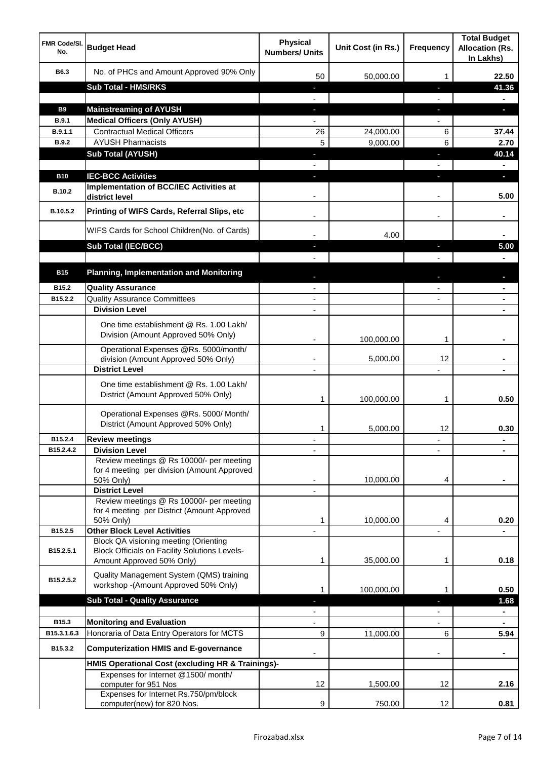| <b>FMR Code/SI.</b><br>No. | <b>Budget Head</b>                                                                                   | <b>Physical</b><br><b>Numbers/ Units</b>             | Unit Cost (in Rs.) | <b>Frequency</b>  | <b>Total Budget</b><br><b>Allocation (Rs.</b><br>In Lakhs) |
|----------------------------|------------------------------------------------------------------------------------------------------|------------------------------------------------------|--------------------|-------------------|------------------------------------------------------------|
| B6.3                       | No. of PHCs and Amount Approved 90% Only                                                             | 50                                                   | 50,000.00          | 1                 | 22.50                                                      |
|                            | <b>Sub Total - HMS/RKS</b>                                                                           | ٠                                                    |                    | J,                | 41.36                                                      |
|                            |                                                                                                      |                                                      |                    |                   |                                                            |
| <b>B9</b>                  | <b>Mainstreaming of AYUSH</b>                                                                        | J,                                                   |                    | T                 | a.                                                         |
| B.9.1                      | <b>Medical Officers (Only AYUSH)</b>                                                                 |                                                      |                    |                   |                                                            |
| B.9.1.1                    | <b>Contractual Medical Officers</b>                                                                  | 26                                                   | 24,000.00          | 6                 | 37.44                                                      |
| <b>B.9.2</b>               | <b>AYUSH Pharmacists</b>                                                                             | 5                                                    | 9,000.00           | 6                 | 2.70                                                       |
|                            | <b>Sub Total (AYUSH)</b>                                                                             | J,                                                   |                    | J,                | 40.14                                                      |
|                            |                                                                                                      |                                                      |                    |                   |                                                            |
| <b>B10</b>                 | <b>IEC-BCC Activities</b>                                                                            |                                                      |                    | ı.                | н                                                          |
| <b>B.10.2</b>              | <b>Implementation of BCC/IEC Activities at</b><br>district level                                     |                                                      |                    |                   | 5.00                                                       |
| B.10.5.2                   | Printing of WIFS Cards, Referral Slips, etc                                                          |                                                      |                    | $\blacksquare$    |                                                            |
|                            | WIFS Cards for School Children(No. of Cards)                                                         |                                                      | 4.00               |                   |                                                            |
|                            | Sub Total (IEC/BCC)                                                                                  |                                                      |                    | ı                 | 5.00                                                       |
|                            |                                                                                                      |                                                      |                    |                   |                                                            |
| <b>B15</b>                 | <b>Planning, Implementation and Monitoring</b>                                                       |                                                      |                    |                   |                                                            |
| B15.2                      | <b>Quality Assurance</b>                                                                             |                                                      |                    |                   |                                                            |
| B15.2.2                    | <b>Quality Assurance Committees</b>                                                                  | $\overline{\phantom{a}}$                             |                    |                   |                                                            |
|                            | <b>Division Level</b>                                                                                | $\blacksquare$                                       |                    |                   | $\blacksquare$                                             |
|                            | One time establishment @ Rs. 1.00 Lakh/<br>Division (Amount Approved 50% Only)                       |                                                      |                    |                   |                                                            |
|                            | Operational Expenses @Rs. 5000/month/                                                                |                                                      | 100,000.00         | 1                 |                                                            |
|                            | division (Amount Approved 50% Only)<br><b>District Level</b>                                         | $\overline{\phantom{a}}$<br>$\overline{\phantom{a}}$ | 5,000.00           | 12                |                                                            |
|                            | One time establishment @ Rs. 1.00 Lakh/<br>District (Amount Approved 50% Only)                       | 1                                                    | 100,000.00         | 1                 | 0.50                                                       |
|                            | Operational Expenses @Rs. 5000/ Month/<br>District (Amount Approved 50% Only)                        | 1                                                    | 5,000.00           | 12                | 0.30                                                       |
| B15.2.4                    | <b>Review meetings</b>                                                                               |                                                      |                    | ٠                 |                                                            |
| B15.2.4.2                  | <b>Division Level</b>                                                                                |                                                      |                    |                   |                                                            |
|                            | Review meetings @ Rs 10000/- per meeting<br>for 4 meeting per division (Amount Approved<br>50% Only) |                                                      | 10,000.00          | 4                 |                                                            |
|                            | <b>District Level</b><br>Review meetings @ Rs 10000/- per meeting                                    |                                                      |                    |                   |                                                            |
|                            | for 4 meeting per District (Amount Approved                                                          |                                                      |                    |                   |                                                            |
|                            | 50% Only)                                                                                            | 1                                                    | 10,000.00          | 4                 | 0.20                                                       |
| B15.2.5                    | <b>Other Block Level Activities</b>                                                                  |                                                      |                    |                   |                                                            |
| B15.2.5.1                  | Block QA visioning meeting (Orienting<br><b>Block Officials on Facility Solutions Levels-</b>        |                                                      |                    |                   |                                                            |
|                            | Amount Approved 50% Only)                                                                            | 1                                                    | 35,000.00          | 1                 | 0.18                                                       |
| B15.2.5.2                  | Quality Management System (QMS) training<br>workshop -(Amount Approved 50% Only)                     | 1                                                    | 100,000.00         | 1                 | 0.50                                                       |
|                            | <b>Sub Total - Quality Assurance</b>                                                                 |                                                      |                    |                   | 1.68                                                       |
|                            |                                                                                                      |                                                      |                    |                   | $\blacksquare$                                             |
| B15.3                      | <b>Monitoring and Evaluation</b>                                                                     |                                                      |                    |                   |                                                            |
| B15.3.1.6.3                | Honoraria of Data Entry Operators for MCTS                                                           | 9                                                    | 11,000.00          | 6                 | 5.94                                                       |
| B15.3.2                    | <b>Computerization HMIS and E-governance</b>                                                         |                                                      |                    |                   |                                                            |
|                            | HMIS Operational Cost (excluding HR & Trainings)-                                                    |                                                      |                    |                   |                                                            |
|                            | Expenses for Internet @1500/month/<br>computer for 951 Nos                                           | 12                                                   | 1,500.00           | 12                | 2.16                                                       |
|                            | Expenses for Internet Rs.750/pm/block                                                                |                                                      |                    |                   |                                                            |
|                            | computer(new) for 820 Nos.                                                                           | 9                                                    | 750.00             | $12 \overline{ }$ | 0.81                                                       |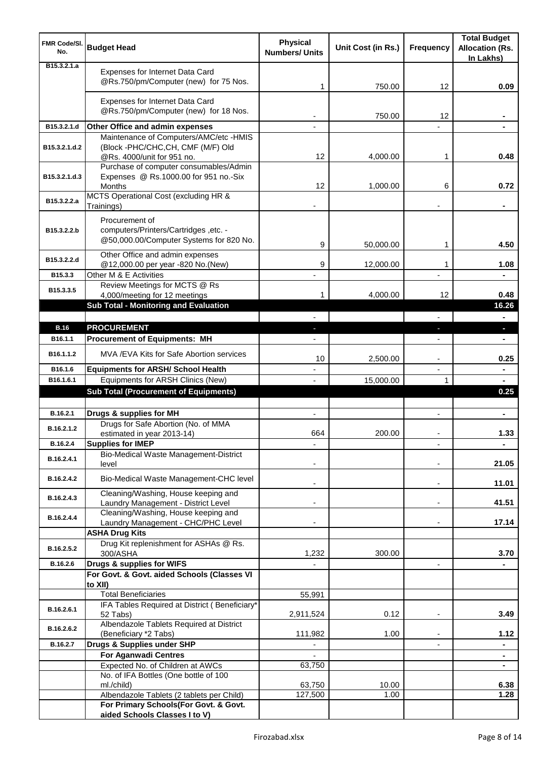| <b>FMR Code/SI.</b><br>No.   | <b>Budget Head</b>                                                                                 | <b>Physical</b><br><b>Numbers/ Units</b> | Unit Cost (in Rs.) | <b>Frequency</b>              | <b>Total Budget</b><br><b>Allocation (Rs.</b><br>In Lakhs) |
|------------------------------|----------------------------------------------------------------------------------------------------|------------------------------------------|--------------------|-------------------------------|------------------------------------------------------------|
| B <sub>15</sub> , 3, 2, 1, a | Expenses for Internet Data Card<br>@Rs.750/pm/Computer (new) for 75 Nos.                           | 1                                        | 750.00             | 12                            | 0.09                                                       |
|                              | Expenses for Internet Data Card<br>@Rs.750/pm/Computer (new) for 18 Nos.                           |                                          | 750.00             | 12                            |                                                            |
| B15.3.2.1.d                  | Other Office and admin expenses                                                                    |                                          |                    |                               |                                                            |
|                              | Maintenance of Computers/AMC/etc -HMIS                                                             |                                          |                    |                               |                                                            |
| B15.3.2.1.d.2                | (Block -PHC/CHC,CH, CMF (M/F) Old<br>@Rs. 4000/unit for 951 no.                                    | 12                                       | 4,000.00           | 1                             | 0.48                                                       |
| B15.3.2.1.d.3                | Purchase of computer consumables/Admin<br>Expenses @ Rs.1000.00 for 951 no.-Six<br>Months          | 12                                       | 1,000.00           | 6                             | 0.72                                                       |
| B15.3.2.2.a                  | MCTS Operational Cost (excluding HR &<br>Trainings)                                                |                                          |                    |                               |                                                            |
| B15.3.2.2.b                  | Procurement of<br>computers/Printers/Cartridges ,etc. -<br>@50,000.00/Computer Systems for 820 No. | 9                                        | 50,000.00          | 1                             | 4.50                                                       |
| B15.3.2.2.d                  | Other Office and admin expenses                                                                    | 9                                        |                    | 1                             |                                                            |
| B15.3.3                      | @12,000.00 per year -820 No.(New)<br>Other M & E Activities                                        |                                          | 12,000.00          |                               | 1.08                                                       |
| B15.3.3.5                    | Review Meetings for MCTS @ Rs<br>4,000/meeting for 12 meetings                                     | 1                                        | 4,000.00           | 12                            | 0.48                                                       |
|                              | Sub Total - Monitoring and Evaluation                                                              |                                          |                    |                               | 16.26                                                      |
|                              |                                                                                                    |                                          |                    |                               | $\blacksquare$                                             |
| <b>B.16</b>                  | <b>PROCUREMENT</b>                                                                                 |                                          |                    | J,                            | o.                                                         |
| B <sub>16.1.1</sub>          | <b>Procurement of Equipments: MH</b>                                                               |                                          |                    |                               |                                                            |
| B16.1.1.2                    | MVA / EVA Kits for Safe Abortion services                                                          | 10                                       | 2,500.00           | $\overline{\phantom{a}}$      | 0.25                                                       |
| B16.1.6<br>B16.1.6.1         | <b>Equipments for ARSH/ School Health</b><br>Equipments for ARSH Clinics (New)                     |                                          |                    | $\overline{\phantom{a}}$<br>1 | ۰                                                          |
|                              | <b>Sub Total (Procurement of Equipments)</b>                                                       |                                          | 15,000.00          |                               | $\blacksquare$<br>0.25                                     |
|                              |                                                                                                    |                                          |                    |                               |                                                            |
| B.16.2.1                     | Drugs & supplies for MH                                                                            | $\blacksquare$                           |                    | $\blacksquare$                | $\blacksquare$                                             |
| B.16.2.1.2                   | Drugs for Safe Abortion (No. of MMA<br>estimated in year 2013-14)                                  | 664                                      | 200.00             |                               | 1.33                                                       |
| B.16.2.4                     | <b>Supplies for IMEP</b>                                                                           |                                          |                    |                               | ÷                                                          |
| B.16.2.4.1                   | Bio-Medical Waste Management-District<br>level                                                     |                                          |                    |                               | 21.05                                                      |
| B.16.2.4.2                   | Bio-Medical Waste Management-CHC level                                                             |                                          |                    | $\overline{\phantom{a}}$      | 11.01                                                      |
| B.16.2.4.3                   | Cleaning/Washing, House keeping and<br>Laundry Management - District Level                         |                                          |                    | $\blacksquare$                | 41.51                                                      |
| B.16.2.4.4                   | Cleaning/Washing, House keeping and                                                                |                                          |                    |                               |                                                            |
|                              | Laundry Management - CHC/PHC Level                                                                 |                                          |                    |                               | 17.14                                                      |
|                              | <b>ASHA Drug Kits</b><br>Drug Kit replenishment for ASHAs @ Rs.                                    |                                          |                    |                               |                                                            |
| B.16.2.5.2                   | 300/ASHA                                                                                           | 1,232                                    | 300.00             |                               | 3.70                                                       |
| B.16.2.6                     | Drugs & supplies for WIFS                                                                          |                                          |                    | $\overline{\phantom{a}}$      |                                                            |
|                              | For Govt. & Govt. aided Schools (Classes VI<br>to XII)                                             |                                          |                    |                               |                                                            |
|                              | <b>Total Beneficiaries</b>                                                                         | 55,991                                   |                    |                               |                                                            |
| B.16.2.6.1                   | IFA Tables Required at District (Beneficiary*                                                      |                                          |                    |                               |                                                            |
|                              | 52 Tabs)<br>Albendazole Tablets Required at District                                               | 2,911,524                                | 0.12               | $\blacksquare$                | 3.49                                                       |
| B.16.2.6.2                   | (Beneficiary *2 Tabs)                                                                              | 111,982                                  | 1.00               |                               | 1.12                                                       |
| B.16.2.7                     | Drugs & Supplies under SHP                                                                         |                                          |                    |                               | ۰                                                          |
|                              | For Aganwadi Centres                                                                               |                                          |                    |                               | $\blacksquare$                                             |
|                              | Expected No. of Children at AWCs<br>No. of IFA Bottles (One bottle of 100                          | 63,750                                   |                    |                               | $\blacksquare$                                             |
|                              | ml./child)                                                                                         | 63,750                                   | 10.00              |                               | 6.38                                                       |
|                              | Albendazole Tablets (2 tablets per Child)                                                          | 127,500                                  | 1.00               |                               | 1.28                                                       |
|                              | For Primary Schools(For Govt. & Govt.<br>aided Schools Classes I to V)                             |                                          |                    |                               |                                                            |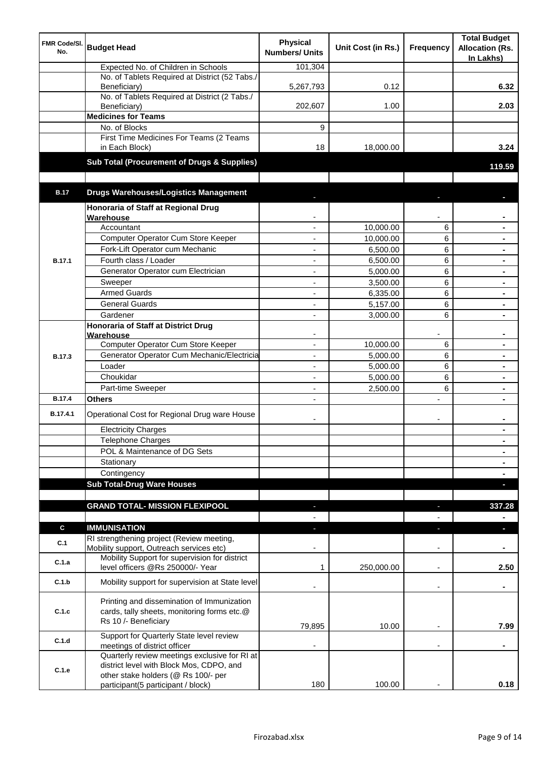| <b>FMR Code/SI.</b><br>No. | <b>Budget Head</b>                                                                                                        | <b>Physical</b><br><b>Numbers/ Units</b> | Unit Cost (in Rs.)    | Frequency                | <b>Total Budget</b><br><b>Allocation (Rs.</b><br>In Lakhs) |
|----------------------------|---------------------------------------------------------------------------------------------------------------------------|------------------------------------------|-----------------------|--------------------------|------------------------------------------------------------|
|                            | Expected No. of Children in Schools                                                                                       | 101,304                                  |                       |                          |                                                            |
|                            | No. of Tablets Required at District (52 Tabs./                                                                            |                                          |                       |                          |                                                            |
|                            | Beneficiary)<br>No. of Tablets Required at District (2 Tabs./                                                             | 5,267,793                                | 0.12                  |                          | 6.32                                                       |
|                            | Beneficiary)                                                                                                              | 202,607                                  | 1.00                  |                          | 2.03                                                       |
|                            | <b>Medicines for Teams</b>                                                                                                |                                          |                       |                          |                                                            |
|                            | No. of Blocks                                                                                                             | 9                                        |                       |                          |                                                            |
|                            | First Time Medicines For Teams (2 Teams                                                                                   |                                          |                       |                          |                                                            |
|                            | in Each Block)                                                                                                            | 18                                       | 18,000.00             |                          | 3.24                                                       |
|                            | Sub Total (Procurement of Drugs & Supplies)                                                                               |                                          |                       |                          | 119.59                                                     |
|                            |                                                                                                                           |                                          |                       |                          |                                                            |
| <b>B.17</b>                | <b>Drugs Warehouses/Logistics Management</b>                                                                              |                                          |                       |                          |                                                            |
|                            | Honoraria of Staff at Regional Drug                                                                                       |                                          |                       |                          |                                                            |
|                            | Warehouse                                                                                                                 |                                          |                       |                          |                                                            |
|                            | Accountant                                                                                                                |                                          | 10,000.00             | 6                        |                                                            |
|                            | Computer Operator Cum Store Keeper<br>Fork-Lift Operator cum Mechanic                                                     | ä,                                       | 10,000.00<br>6,500.00 | 6<br>6                   | $\blacksquare$<br>$\blacksquare$                           |
| <b>B.17.1</b>              | Fourth class / Loader                                                                                                     | ä,                                       | 6,500.00              | 6                        | $\blacksquare$                                             |
|                            | Generator Operator cum Electrician                                                                                        | ÷,                                       | 5,000.00              | 6                        |                                                            |
|                            | Sweeper                                                                                                                   | ÷,                                       | 3,500.00              | 6                        |                                                            |
|                            | <b>Armed Guards</b>                                                                                                       | ÷,                                       | 6,335.00              | 6                        |                                                            |
|                            | <b>General Guards</b>                                                                                                     | $\blacksquare$                           | 5,157.00              | 6                        |                                                            |
|                            | Gardener                                                                                                                  | $\blacksquare$                           | 3,000.00              | 6                        |                                                            |
|                            | <b>Honoraria of Staff at District Drug</b>                                                                                |                                          |                       |                          |                                                            |
|                            | Warehouse                                                                                                                 |                                          |                       |                          |                                                            |
|                            | Computer Operator Cum Store Keeper                                                                                        |                                          | 10,000.00             | 6                        |                                                            |
| <b>B.17.3</b>              | Generator Operator Cum Mechanic/Electricia<br>Loader                                                                      |                                          | 5,000.00              | 6                        |                                                            |
|                            | Choukidar                                                                                                                 |                                          | 5,000.00<br>5,000.00  | 6<br>6                   |                                                            |
|                            | Part-time Sweeper                                                                                                         |                                          | 2,500.00              | 6                        |                                                            |
| <b>B.17.4</b>              | Others                                                                                                                    |                                          |                       | $\overline{a}$           |                                                            |
|                            |                                                                                                                           |                                          |                       |                          |                                                            |
| B.17.4.1                   | Operational Cost for Regional Drug ware House                                                                             | $\overline{\phantom{a}}$                 |                       | $\overline{\phantom{a}}$ |                                                            |
|                            | <b>Electricity Charges</b>                                                                                                |                                          |                       |                          |                                                            |
|                            | <b>Telephone Charges</b>                                                                                                  |                                          |                       |                          | $\blacksquare$                                             |
|                            | POL & Maintenance of DG Sets                                                                                              |                                          |                       |                          | $\blacksquare$                                             |
|                            | Stationary                                                                                                                |                                          |                       |                          | $\blacksquare$                                             |
|                            | Contingency<br><b>Sub Total-Drug Ware Houses</b>                                                                          |                                          |                       |                          | $\blacksquare$                                             |
|                            |                                                                                                                           |                                          |                       |                          | г                                                          |
|                            | <b>GRAND TOTAL- MISSION FLEXIPOOL</b>                                                                                     |                                          |                       |                          | 337.28                                                     |
|                            |                                                                                                                           |                                          |                       |                          |                                                            |
| C                          | <b>IMMUNISATION</b>                                                                                                       |                                          |                       | ٠                        | п                                                          |
| C.1                        | RI strengthening project (Review meeting,<br>Mobility support, Outreach services etc)                                     |                                          |                       |                          |                                                            |
| C.1.a                      | Mobility Support for supervision for district<br>level officers @Rs 250000/- Year                                         | 1                                        | 250,000.00            | $\overline{\phantom{a}}$ | 2.50                                                       |
| C.1.b                      | Mobility support for supervision at State level                                                                           |                                          |                       | $\overline{\phantom{a}}$ | ۰                                                          |
| C.1.c                      | Printing and dissemination of Immunization<br>cards, tally sheets, monitoring forms etc.@<br>Rs 10 /- Beneficiary         | 79,895                                   | 10.00                 |                          | 7.99                                                       |
| C.1.d                      | Support for Quarterly State level review                                                                                  |                                          |                       |                          |                                                            |
|                            | meetings of district officer<br>Quarterly review meetings exclusive for RI at<br>district level with Block Mos, CDPO, and |                                          |                       |                          |                                                            |
| C.1.e                      | other stake holders (@ Rs 100/- per                                                                                       |                                          |                       |                          |                                                            |
|                            | participant(5 participant / block)                                                                                        | 180                                      | 100.00                |                          | 0.18                                                       |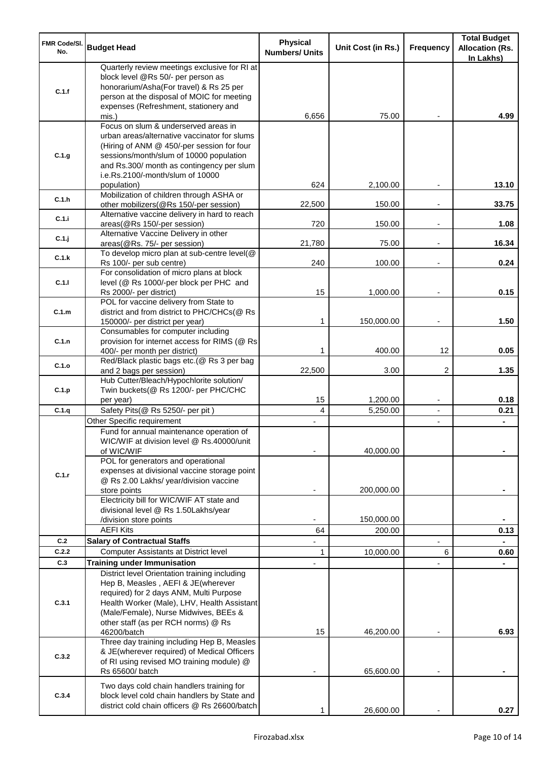| <b>FMR Code/SI.</b><br>No. | <b>Budget Head</b>                                                                                                                                                                                                                                             | <b>Physical</b><br><b>Numbers/ Units</b> | Unit Cost (in Rs.) | Frequency                        | <b>Total Budget</b><br><b>Allocation (Rs.</b><br>In Lakhs) |
|----------------------------|----------------------------------------------------------------------------------------------------------------------------------------------------------------------------------------------------------------------------------------------------------------|------------------------------------------|--------------------|----------------------------------|------------------------------------------------------------|
| C.1.f                      | Quarterly review meetings exclusive for RI at<br>block level @Rs 50/- per person as<br>honorarium/Asha(For travel) & Rs 25 per<br>person at the disposal of MOIC for meeting<br>expenses (Refreshment, stationery and                                          |                                          |                    |                                  |                                                            |
|                            | mis.)                                                                                                                                                                                                                                                          | 6,656                                    | 75.00              |                                  | 4.99                                                       |
| C.1.g                      | Focus on slum & underserved areas in<br>urban areas/alternative vaccinator for slums<br>(Hiring of ANM @ 450/-per session for four<br>sessions/month/slum of 10000 population<br>and Rs.300/ month as contingency per slum<br>i.e.Rs.2100/-month/slum of 10000 | 624                                      |                    |                                  | 13.10                                                      |
| C.1.h                      | population)<br>Mobilization of children through ASHA or                                                                                                                                                                                                        |                                          | 2,100.00           |                                  |                                                            |
| C.1.i                      | other mobilizers(@Rs 150/-per session)<br>Alternative vaccine delivery in hard to reach                                                                                                                                                                        | 22,500                                   | 150.00             |                                  | 33.75                                                      |
|                            | areas(@Rs 150/-per session)<br>Alternative Vaccine Delivery in other                                                                                                                                                                                           | 720                                      | 150.00             | $\overline{\phantom{a}}$         | 1.08                                                       |
| C.1.j                      | areas(@Rs. 75/- per session)<br>To develop micro plan at sub-centre level(@                                                                                                                                                                                    | 21,780                                   | 75.00              | $\overline{\phantom{a}}$         | 16.34                                                      |
| C.1.k                      | Rs 100/- per sub centre)                                                                                                                                                                                                                                       | 240                                      | 100.00             |                                  | 0.24                                                       |
| C.1.1                      | For consolidation of micro plans at block<br>level (@ Rs 1000/-per block per PHC and                                                                                                                                                                           | 15                                       |                    |                                  | 0.15                                                       |
|                            | Rs 2000/- per district)<br>POL for vaccine delivery from State to                                                                                                                                                                                              |                                          | 1,000.00           |                                  |                                                            |
| C.1.m                      | district and from district to PHC/CHCs(@ Rs<br>150000/- per district per year)                                                                                                                                                                                 | 1                                        | 150,000.00         | $\overline{\phantom{a}}$         | 1.50                                                       |
| C.1.n                      | Consumables for computer including<br>provision for internet access for RIMS (@ Rs<br>400/- per month per district)                                                                                                                                            | 1                                        | 400.00             | 12                               | 0.05                                                       |
| C.1.o                      | Red/Black plastic bags etc.(@ Rs 3 per bag                                                                                                                                                                                                                     |                                          |                    | 2                                | 1.35                                                       |
| C.1.p                      | and 2 bags per session)<br>Hub Cutter/Bleach/Hypochlorite solution/<br>Twin buckets(@ Rs 1200/- per PHC/CHC                                                                                                                                                    | 22,500                                   | 3.00               |                                  |                                                            |
| C.1.q                      | per year)                                                                                                                                                                                                                                                      | 15<br>4                                  | 1,200.00           | $\overline{\phantom{a}}$         | 0.18                                                       |
|                            | Safety Pits(@ Rs 5250/- per pit)<br>Other Specific requirement                                                                                                                                                                                                 |                                          | 5,250.00           | $\blacksquare$<br>$\blacksquare$ | 0.21                                                       |
|                            | Fund for annual maintenance operation of<br>WIC/WIF at division level @ Rs.40000/unit<br>of WIC/WIF<br>POL for generators and operational                                                                                                                      |                                          | 40,000.00          |                                  |                                                            |
| C.1.r                      | expenses at divisional vaccine storage point<br>@ Rs 2.00 Lakhs/ year/division vaccine<br>store points                                                                                                                                                         |                                          | 200,000.00         |                                  |                                                            |
|                            | Electricity bill for WIC/WIF AT state and<br>divisional level @ Rs 1.50Lakhs/year                                                                                                                                                                              |                                          |                    |                                  |                                                            |
|                            | /division store points                                                                                                                                                                                                                                         |                                          | 150,000.00         |                                  |                                                            |
|                            | <b>AEFI Kits</b>                                                                                                                                                                                                                                               | 64                                       | 200.00             |                                  | 0.13                                                       |
| C.2<br>C.2.2               | <b>Salary of Contractual Staffs</b>                                                                                                                                                                                                                            |                                          |                    |                                  |                                                            |
| C.3                        | Computer Assistants at District level<br><b>Training under Immunisation</b>                                                                                                                                                                                    | 1                                        | 10,000.00          | 6                                | 0.60                                                       |
| C.3.1                      | District level Orientation training including<br>Hep B, Measles, AEFI & JE(wherever<br>required) for 2 days ANM, Multi Purpose<br>Health Worker (Male), LHV, Health Assistant<br>(Male/Female), Nurse Midwives, BEEs &                                         |                                          |                    |                                  |                                                            |
|                            | other staff (as per RCH norms) @ Rs<br>46200/batch                                                                                                                                                                                                             | 15                                       | 46,200.00          |                                  | 6.93                                                       |
| C.3.2                      | Three day training including Hep B, Measles<br>& JE(wherever required) of Medical Officers<br>of RI using revised MO training module) @<br>Rs 65600/ batch                                                                                                     |                                          | 65,600.00          |                                  |                                                            |
| C.3.4                      | Two days cold chain handlers training for<br>block level cold chain handlers by State and<br>district cold chain officers @ Rs 26600/batch                                                                                                                     |                                          | 26,600.00          |                                  | 0.27                                                       |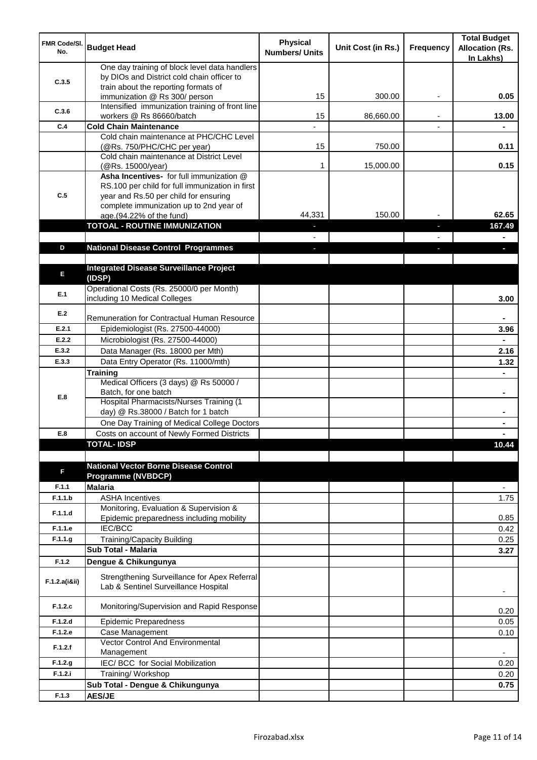| FMR Code/SI.<br>No. | <b>Budget Head</b>                                                                                                                   | <b>Physical</b><br><b>Numbers/ Units</b> | Unit Cost (in Rs.) | Frequency | <b>Total Budget</b><br><b>Allocation (Rs.</b><br>In Lakhs) |
|---------------------|--------------------------------------------------------------------------------------------------------------------------------------|------------------------------------------|--------------------|-----------|------------------------------------------------------------|
| C.3.5               | One day training of block level data handlers<br>by DIOs and District cold chain officer to<br>train about the reporting formats of  |                                          |                    |           |                                                            |
|                     | immunization @ Rs 300/ person                                                                                                        | 15                                       | 300.00             | ٠         | 0.05                                                       |
| C.3.6               | Intensified immunization training of front line<br>workers @ Rs 86660/batch                                                          | 15                                       | 86,660.00          |           | 13.00                                                      |
| C.4                 | <b>Cold Chain Maintenance</b>                                                                                                        |                                          |                    |           |                                                            |
|                     | Cold chain maintenance at PHC/CHC Level<br>(@Rs. 750/PHC/CHC per year)                                                               | 15                                       | 750.00             |           | 0.11                                                       |
|                     | Cold chain maintenance at District Level<br>(@Rs. 15000/year)                                                                        | 1                                        | 15,000.00          |           | 0.15                                                       |
| C.5                 | Asha Incentives- for full immunization @<br>RS.100 per child for full immunization in first<br>year and Rs.50 per child for ensuring |                                          |                    |           |                                                            |
|                     | complete immunization up to 2nd year of<br>age.(94.22% of the fund)                                                                  | 44,331                                   | 150.00             |           | 62.65                                                      |
|                     | <b>TOTOAL - ROUTINE IMMUNIZATION</b>                                                                                                 |                                          |                    |           | 167.49                                                     |
|                     |                                                                                                                                      |                                          |                    |           |                                                            |
| D                   | <b>National Disease Control Programmes</b>                                                                                           |                                          |                    |           |                                                            |
|                     |                                                                                                                                      |                                          |                    |           |                                                            |
| E                   | <b>Integrated Disease Surveillance Project</b><br>(IDSP)                                                                             |                                          |                    |           |                                                            |
| E.1                 | Operational Costs (Rs. 25000/0 per Month)<br>including 10 Medical Colleges                                                           |                                          |                    |           | 3.00                                                       |
| E.2                 | Remuneration for Contractual Human Resource                                                                                          |                                          |                    |           |                                                            |
| E.2.1               | Epidemiologist (Rs. 27500-44000)                                                                                                     |                                          |                    |           | 3.96                                                       |
| E.2.2               | Microbiologist (Rs. 27500-44000)                                                                                                     |                                          |                    |           |                                                            |
| E.3.2               | Data Manager (Rs. 18000 per Mth)                                                                                                     |                                          |                    |           | 2.16                                                       |
| E.3.3               | Data Entry Operator (Rs. 11000/mth)                                                                                                  |                                          |                    |           | 1.32                                                       |
|                     | Training                                                                                                                             |                                          |                    |           |                                                            |
|                     | Medical Officers (3 days) @ Rs 50000 /                                                                                               |                                          |                    |           |                                                            |
| E.8                 | Batch, for one batch<br>Hospital Pharmacists/Nurses Training (1                                                                      |                                          |                    |           | $\blacksquare$                                             |
|                     | day) @ Rs.38000 / Batch for 1 batch                                                                                                  |                                          |                    |           |                                                            |
|                     | One Day Training of Medical College Doctors                                                                                          |                                          |                    |           |                                                            |
| E.8                 | Costs on account of Newly Formed Districts                                                                                           |                                          |                    |           |                                                            |
|                     | <b>TOTAL-IDSP</b>                                                                                                                    |                                          |                    |           | 10.44                                                      |
|                     |                                                                                                                                      |                                          |                    |           |                                                            |
| F                   | <b>National Vector Borne Disease Control</b><br><b>Programme (NVBDCP)</b>                                                            |                                          |                    |           |                                                            |
| F.1.1               | <b>Malaria</b>                                                                                                                       |                                          |                    |           | $\overline{\phantom{a}}$                                   |
| F.1.1.b             | <b>ASHA Incentives</b>                                                                                                               |                                          |                    |           | 1.75                                                       |
| F.1.1.d             | Monitoring, Evaluation & Supervision &<br>Epidemic preparedness including mobility                                                   |                                          |                    |           | 0.85                                                       |
| F.1.1.e             | <b>IEC/BCC</b>                                                                                                                       |                                          |                    |           | 0.42                                                       |
| F.1.1.g             | Training/Capacity Building                                                                                                           |                                          |                    |           | 0.25                                                       |
|                     | <b>Sub Total - Malaria</b>                                                                                                           |                                          |                    |           | 3.27                                                       |
| F.1.2               | Dengue & Chikungunya                                                                                                                 |                                          |                    |           |                                                            |
| F.1.2.a(iⅈ)         | Strengthening Surveillance for Apex Referral<br>Lab & Sentinel Surveillance Hospital                                                 |                                          |                    |           |                                                            |
| F.1.2.c             | Monitoring/Supervision and Rapid Response                                                                                            |                                          |                    |           | 0.20                                                       |
| F.1.2.d             | <b>Epidemic Preparedness</b>                                                                                                         |                                          |                    |           | 0.05                                                       |
| F.1.2.e             | Case Management<br>Vector Control And Environmental                                                                                  |                                          |                    |           | 0.10                                                       |
| F.1.2.f             | Management                                                                                                                           |                                          |                    |           | $\overline{\phantom{a}}$                                   |
| F.1.2.g             | IEC/BCC for Social Mobilization                                                                                                      |                                          |                    |           | 0.20                                                       |
| F.1.2.i             | Training/Workshop                                                                                                                    |                                          |                    |           | 0.20                                                       |
|                     | Sub Total - Dengue & Chikungunya                                                                                                     |                                          |                    |           | 0.75                                                       |
| F.1.3               | <b>AES/JE</b>                                                                                                                        |                                          |                    |           |                                                            |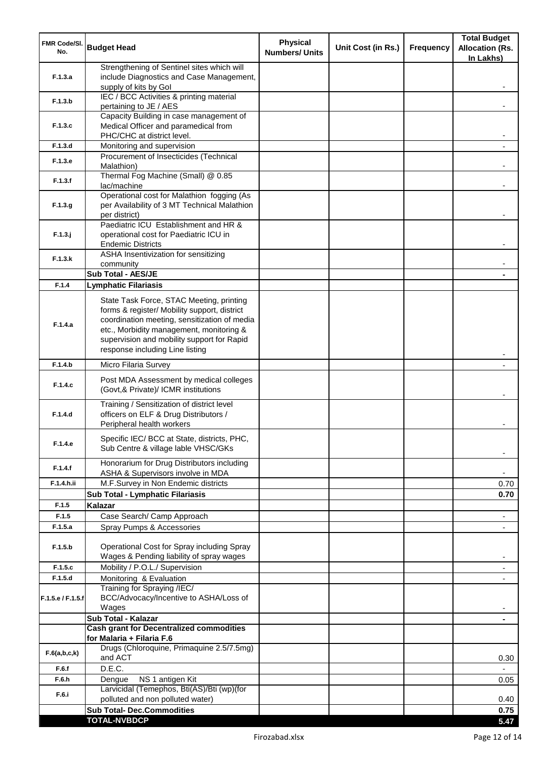| <b>FMR Code/SI.</b><br>No. | <b>Budget Head</b>                                                                                                                                                                                                                                                    | <b>Physical</b><br><b>Numbers/ Units</b> | Unit Cost (in Rs.) | <b>Frequency</b> | <b>Total Budget</b><br><b>Allocation (Rs.</b><br>In Lakhs) |
|----------------------------|-----------------------------------------------------------------------------------------------------------------------------------------------------------------------------------------------------------------------------------------------------------------------|------------------------------------------|--------------------|------------------|------------------------------------------------------------|
| F.1.3.a                    | Strengthening of Sentinel sites which will<br>include Diagnostics and Case Management,<br>supply of kits by Gol                                                                                                                                                       |                                          |                    |                  |                                                            |
| F.1.3.b                    | IEC / BCC Activities & printing material<br>pertaining to JE / AES                                                                                                                                                                                                    |                                          |                    |                  |                                                            |
| F.1.3.c                    | Capacity Building in case management of<br>Medical Officer and paramedical from                                                                                                                                                                                       |                                          |                    |                  |                                                            |
| F.1.3.d                    | PHC/CHC at district level.<br>Monitoring and supervision                                                                                                                                                                                                              |                                          |                    |                  |                                                            |
|                            | Procurement of Insecticides (Technical                                                                                                                                                                                                                                |                                          |                    |                  |                                                            |
| F.1.3.e                    | Malathion)<br>Thermal Fog Machine (Small) @ 0.85                                                                                                                                                                                                                      |                                          |                    |                  |                                                            |
| F.1.3.f                    | lac/machine                                                                                                                                                                                                                                                           |                                          |                    |                  |                                                            |
| F.1.3.g                    | Operational cost for Malathion fogging (As<br>per Availability of 3 MT Technical Malathion<br>per district)                                                                                                                                                           |                                          |                    |                  |                                                            |
| $F.1.3.$ j                 | Paediatric ICU Establishment and HR &<br>operational cost for Paediatric ICU in<br><b>Endemic Districts</b>                                                                                                                                                           |                                          |                    |                  |                                                            |
| F.1.3.k                    | ASHA Insentivization for sensitizing                                                                                                                                                                                                                                  |                                          |                    |                  |                                                            |
|                            | community<br>Sub Total - AES/JE                                                                                                                                                                                                                                       |                                          |                    |                  |                                                            |
| F.1.4                      | <b>Lymphatic Filariasis</b>                                                                                                                                                                                                                                           |                                          |                    |                  |                                                            |
| F.1.4.a                    | State Task Force, STAC Meeting, printing<br>forms & register/ Mobility support, district<br>coordination meeting, sensitization of media<br>etc., Morbidity management, monitoring &<br>supervision and mobility support for Rapid<br>response including Line listing |                                          |                    |                  |                                                            |
| F.1.4.b                    | Micro Filaria Survey                                                                                                                                                                                                                                                  |                                          |                    |                  |                                                            |
| F.1.4.c                    | Post MDA Assessment by medical colleges<br>(Govt,& Private)/ ICMR institutions                                                                                                                                                                                        |                                          |                    |                  |                                                            |
| F.1.4.d                    | Training / Sensitization of district level<br>officers on ELF & Drug Distributors /<br>Peripheral health workers                                                                                                                                                      |                                          |                    |                  |                                                            |
| F.1.4.e                    | Specific IEC/ BCC at State, districts, PHC,<br>Sub Centre & village lable VHSC/GKs                                                                                                                                                                                    |                                          |                    |                  |                                                            |
| F.1.4.f                    | Honorarium for Drug Distributors including<br>ASHA & Supervisors involve in MDA                                                                                                                                                                                       |                                          |                    |                  | ۰                                                          |
| F.1.4.h.ii                 | M.F.Survey in Non Endemic districts                                                                                                                                                                                                                                   |                                          |                    |                  | 0.70                                                       |
|                            | Sub Total - Lymphatic Filariasis                                                                                                                                                                                                                                      |                                          |                    |                  | 0.70                                                       |
| F.1.5<br>F.1.5             | <b>Kalazar</b><br>Case Search/ Camp Approach                                                                                                                                                                                                                          |                                          |                    |                  | $\overline{\phantom{a}}$                                   |
| F.1.5.a                    | Spray Pumps & Accessories                                                                                                                                                                                                                                             |                                          |                    |                  | $\blacksquare$                                             |
| F.1.5.b                    | Operational Cost for Spray including Spray<br>Wages & Pending liability of spray wages                                                                                                                                                                                |                                          |                    |                  |                                                            |
| F.1.5.c                    | Mobility / P.O.L./ Supervision                                                                                                                                                                                                                                        |                                          |                    |                  |                                                            |
| F.1.5.d                    | Monitoring & Evaluation<br>Training for Spraying /IEC/                                                                                                                                                                                                                |                                          |                    |                  |                                                            |
| F.1.5.e / F.1.5.f          | BCC/Advocacy/Incentive to ASHA/Loss of<br>Wages                                                                                                                                                                                                                       |                                          |                    |                  |                                                            |
|                            | Sub Total - Kalazar                                                                                                                                                                                                                                                   |                                          |                    |                  | $\blacksquare$                                             |
|                            | <b>Cash grant for Decentralized commodities</b><br>for Malaria + Filaria F.6                                                                                                                                                                                          |                                          |                    |                  |                                                            |
| F.6(a,b,c,k)               | Drugs (Chloroquine, Primaquine 2.5/7.5mg)<br>and ACT                                                                                                                                                                                                                  |                                          |                    |                  | 0.30                                                       |
| F.6.f                      | D.E.C.                                                                                                                                                                                                                                                                |                                          |                    |                  |                                                            |
| F.6.h                      | NS 1 antigen Kit<br>Dengue<br>Larvicidal (Temephos, Bti(AS)/Bti (wp)(for                                                                                                                                                                                              |                                          |                    |                  | 0.05                                                       |
| F.6.i                      | polluted and non polluted water)                                                                                                                                                                                                                                      |                                          |                    |                  | 0.40                                                       |
|                            | <b>Sub Total- Dec.Commodities</b>                                                                                                                                                                                                                                     |                                          |                    |                  | 0.75                                                       |
|                            | <b>TOTAL-NVBDCP</b>                                                                                                                                                                                                                                                   |                                          |                    |                  | 5.47                                                       |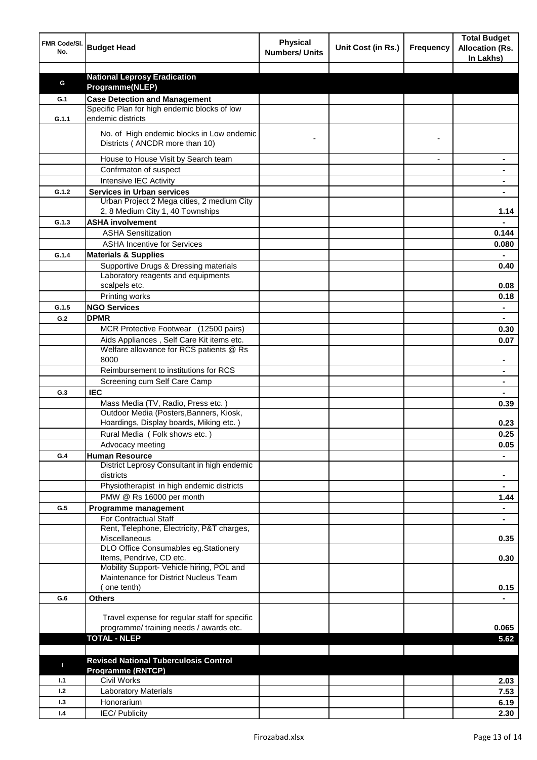| FMR Code/SI.<br>No. | <b>Budget Head</b>                                                                   | <b>Physical</b><br><b>Numbers/ Units</b> | Unit Cost (in Rs.) | <b>Frequency</b> | <b>Total Budget</b><br><b>Allocation (Rs.</b><br>In Lakhs) |
|---------------------|--------------------------------------------------------------------------------------|------------------------------------------|--------------------|------------------|------------------------------------------------------------|
|                     |                                                                                      |                                          |                    |                  |                                                            |
| G                   | <b>National Leprosy Eradication</b>                                                  |                                          |                    |                  |                                                            |
|                     | Programme(NLEP)                                                                      |                                          |                    |                  |                                                            |
| G.1                 | <b>Case Detection and Management</b><br>Specific Plan for high endemic blocks of low |                                          |                    |                  |                                                            |
| G.1.1               | endemic districts                                                                    |                                          |                    |                  |                                                            |
|                     | No. of High endemic blocks in Low endemic<br>Districts (ANCDR more than 10)          |                                          |                    |                  |                                                            |
|                     | House to House Visit by Search team                                                  |                                          |                    |                  |                                                            |
|                     | Confrmaton of suspect                                                                |                                          |                    |                  |                                                            |
|                     | Intensive IEC Activity                                                               |                                          |                    |                  |                                                            |
| G.1.2               | <b>Services in Urban services</b>                                                    |                                          |                    |                  |                                                            |
|                     | Urban Project 2 Mega cities, 2 medium City                                           |                                          |                    |                  |                                                            |
|                     | 2, 8 Medium City 1, 40 Townships                                                     |                                          |                    |                  | 1.14                                                       |
| G.1.3               | <b>ASHA involvement</b>                                                              |                                          |                    |                  |                                                            |
|                     | <b>ASHA Sensitization</b>                                                            |                                          |                    |                  | 0.144                                                      |
|                     | <b>ASHA Incentive for Services</b>                                                   |                                          |                    |                  | 0.080                                                      |
| G.1.4               | <b>Materials &amp; Supplies</b>                                                      |                                          |                    |                  |                                                            |
|                     | Supportive Drugs & Dressing materials                                                |                                          |                    |                  | 0.40                                                       |
|                     | Laboratory reagents and equipments                                                   |                                          |                    |                  |                                                            |
|                     | scalpels etc.                                                                        |                                          |                    |                  | 0.08                                                       |
|                     | Printing works                                                                       |                                          |                    |                  | 0.18                                                       |
| G.1.5               | <b>NGO Services</b>                                                                  |                                          |                    |                  | $\blacksquare$                                             |
| G.2                 | <b>DPMR</b>                                                                          |                                          |                    |                  | $\blacksquare$                                             |
|                     | MCR Protective Footwear (12500 pairs)                                                |                                          |                    |                  | 0.30                                                       |
|                     | Aids Appliances, Self Care Kit items etc.                                            |                                          |                    |                  | 0.07                                                       |
|                     | Welfare allowance for RCS patients @ Rs                                              |                                          |                    |                  |                                                            |
|                     | 8000                                                                                 |                                          |                    |                  |                                                            |
|                     | Reimbursement to institutions for RCS                                                |                                          |                    |                  |                                                            |
|                     | Screening cum Self Care Camp                                                         |                                          |                    |                  |                                                            |
| G.3                 | <b>IEC</b>                                                                           |                                          |                    |                  |                                                            |
|                     | Mass Media (TV, Radio, Press etc.)                                                   |                                          |                    |                  | 0.39                                                       |
|                     | Outdoor Media (Posters, Banners, Kiosk,<br>Hoardings, Display boards, Miking etc.)   |                                          |                    |                  | 0.23                                                       |
|                     | Rural Media (Folk shows etc.)                                                        |                                          |                    |                  | 0.25                                                       |
|                     | Advocacy meeting                                                                     |                                          |                    |                  | 0.05                                                       |
| G.4                 | <b>Human Resource</b>                                                                |                                          |                    |                  |                                                            |
|                     | District Leprosy Consultant in high endemic                                          |                                          |                    |                  |                                                            |
|                     | districts<br>Physiotherapist in high endemic districts                               |                                          |                    |                  | $\blacksquare$<br>$\blacksquare$                           |
|                     | PMW @ Rs 16000 per month                                                             |                                          |                    |                  | 1.44                                                       |
| G.5                 | Programme management                                                                 |                                          |                    |                  | $\blacksquare$                                             |
|                     | For Contractual Staff                                                                |                                          |                    |                  |                                                            |
|                     | Rent, Telephone, Electricity, P&T charges,                                           |                                          |                    |                  |                                                            |
|                     | Miscellaneous                                                                        |                                          |                    |                  | 0.35                                                       |
|                     | DLO Office Consumables eg.Stationery                                                 |                                          |                    |                  |                                                            |
|                     | Items, Pendrive, CD etc.                                                             |                                          |                    |                  | 0.30                                                       |
|                     | Mobility Support- Vehicle hiring, POL and                                            |                                          |                    |                  |                                                            |
|                     | Maintenance for District Nucleus Team<br>one tenth)                                  |                                          |                    |                  |                                                            |
|                     |                                                                                      |                                          |                    |                  | 0.15                                                       |
| G.6                 | <b>Others</b>                                                                        |                                          |                    |                  |                                                            |
|                     | Travel expense for regular staff for specific                                        |                                          |                    |                  |                                                            |
|                     | programme/ training needs / awards etc.                                              |                                          |                    |                  | 0.065                                                      |
|                     | <b>TOTAL - NLEP</b>                                                                  |                                          |                    |                  | 5.62                                                       |
|                     |                                                                                      |                                          |                    |                  |                                                            |
|                     | <b>Revised National Tuberculosis Control</b>                                         |                                          |                    |                  |                                                            |
| П                   | <b>Programme (RNTCP)</b>                                                             |                                          |                    |                  |                                                            |
| 1.1                 | <b>Civil Works</b>                                                                   |                                          |                    |                  | 2.03                                                       |
| 1.2                 | <b>Laboratory Materials</b>                                                          |                                          |                    |                  | 7.53                                                       |
| 1.3                 | Honorarium                                                                           |                                          |                    |                  | 6.19                                                       |
| 1.4                 | <b>IEC/Publicity</b>                                                                 |                                          |                    |                  | 2.30                                                       |